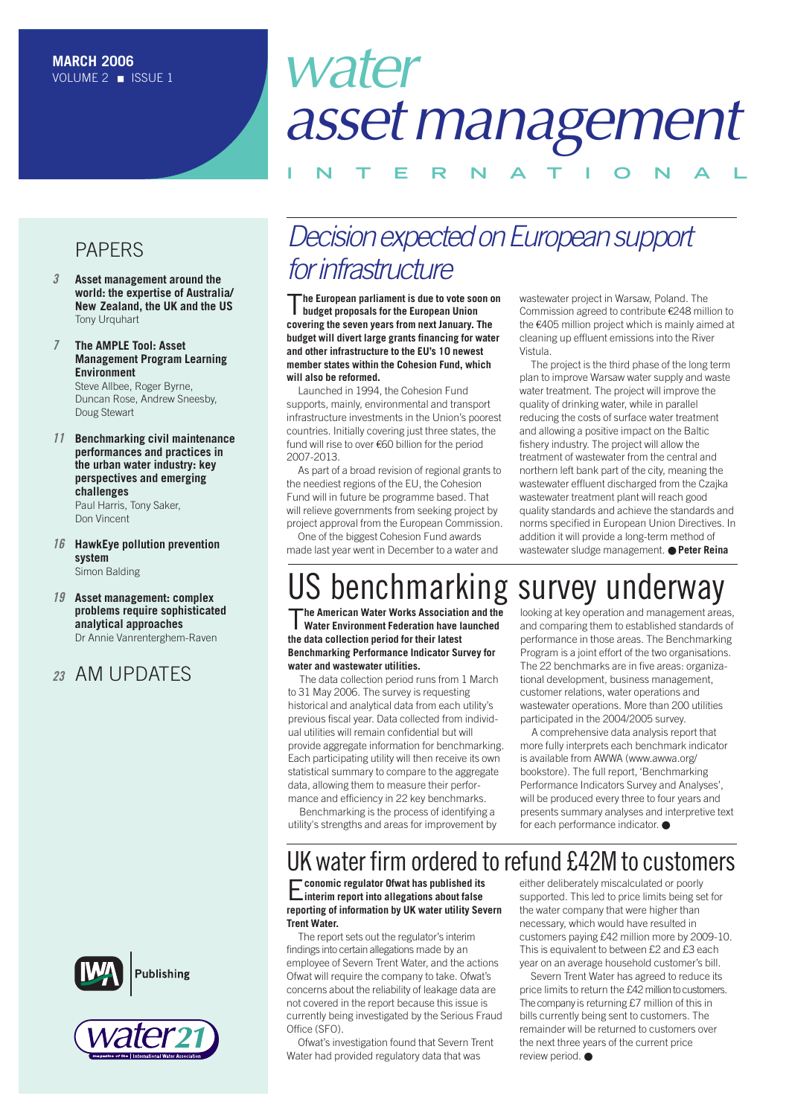# water *assetmanagement*

### **INTERNAT IONAL**

### PAPERS

- *3* **Asset management around the [world: the expertise of Australia/](#page-2-0)  New Zealand, the UK and the US** Tony Urquhart
- *7* **The AMPLE Tool: Asset [Management Program Learning](#page-6-0)  Environment** Steve Allbee, Roger Byrne, Duncan Rose, Andrew Sneesby,

Doug Stewart

- *11* **[Benchmarking civil maintenance](#page-10-0)  performances and practices in the urban water industry: key perspectives and emerging challenges** Paul Harris, Tony Saker, Don Vincent
- *16* **[HawkEye pollution prevention](#page-15-0) system** Simon Balding
- *19* **Asset management: complex [problems require sophisticated](#page-18-0) analytical approaches** Dr Annie Vanrenterghem-Raven

### *<sup>23</sup>* AM UPDATES





## *Decision expected on European support for infrastructure*

T**he European parliament is due to vote soon on budget proposals for the European Union covering the seven years from next January. The budget will divert large grants financing for water and other infrastructure to the EU's 10 newest member states within the Cohesion Fund, which will also be reformed.**

Launched in 1994, the Cohesion Fund supports, mainly, environmental and transport infrastructure investments in the Union's poorest countries. Initially covering just three states, the fund will rise to over €60 billion for the period 2007-2013.

As part of a broad revision of regional grants to the neediest regions of the EU, the Cohesion Fund will in future be programme based. That will relieve governments from seeking project by project approval from the European Commission.

One of the biggest Cohesion Fund awards made last year went in December to a water and

#### wastewater project in Warsaw, Poland. The Commission agreed to contribute €248 million to the €405 million project which is mainly aimed at cleaning up effluent emissions into the River Vistula.

The project is the third phase of the long term plan to improve Warsaw water supply and waste water treatment. The project will improve the quality of drinking water, while in parallel reducing the costs of surface water treatment and allowing a positive impact on the Baltic fishery industry. The project will allow the treatment of wastewater from the central and northern left bank part of the city, meaning the wastewater effluent discharged from the Czajka wastewater treatment plant will reach good quality standards and achieve the standards and norms specified in European Union Directives. In addition it will provide a long-term method of wastewater sludge management. ● **Peter Reina** 

# US benchmarking survey underway

T**he American Water Works Association and the Water Environment Federation have launched the data collection period for their latest Benchmarking Performance Indicator Survey for water and wastewater utilities.** 

The data collection period runs from 1 March to 31 May 2006. The survey is requesting historical and analytical data from each utility's previous fiscal year. Data collected from individual utilities will remain confidential but will provide aggregate information for benchmarking. Each participating utility will then receive its own statistical summary to compare to the aggregate data, allowing them to measure their performance and efficiency in 22 key benchmarks.

Benchmarking is the process of identifying a utility's strengths and areas for improvement by looking at key operation and management areas, and comparing them to established standards of performance in those areas. The Benchmarking Program is a joint effort of the two organisations. The 22 benchmarks are in five areas: organizational development, business management, customer relations, water operations and wastewater operations. More than 200 utilities participated in the 2004/2005 survey.

A comprehensive data analysis report that more fully interprets each benchmark indicator is available from AWWA (www.awwa.org/ bookstore). The full report, 'Benchmarking Performance Indicators Survey and Analyses', will be produced every three to four years and presents summary analyses and interpretive text for each performance indicator. ●

### UK water firm ordered to refund £42M to customers

E**conomic regulator Ofwat has published its interim report into allegations about false reporting of information by UK water utility Severn Trent Water.**

The report sets out the regulator's interim findings into certain allegations made by an employee of Severn Trent Water, and the actions Ofwat will require the company to take. Ofwat's concerns about the reliability of leakage data are not covered in the report because this issue is currently being investigated by the Serious Fraud Office (SFO).

Ofwat's investigation found that Severn Trent Water had provided regulatory data that was

either deliberately miscalculated or poorly supported. This led to price limits being set for the water company that were higher than necessary, which would have resulted in customers paying £42 million more by 2009-10. This is equivalent to between £2 and £3 each year on an average household customer's bill.

Severn Trent Water has agreed to reduce its price limits to return the £42 million to customers. The company is returning £7 million of this in bills currently being sent to customers. The remainder will be returned to customers over the next three years of the current price review period. ●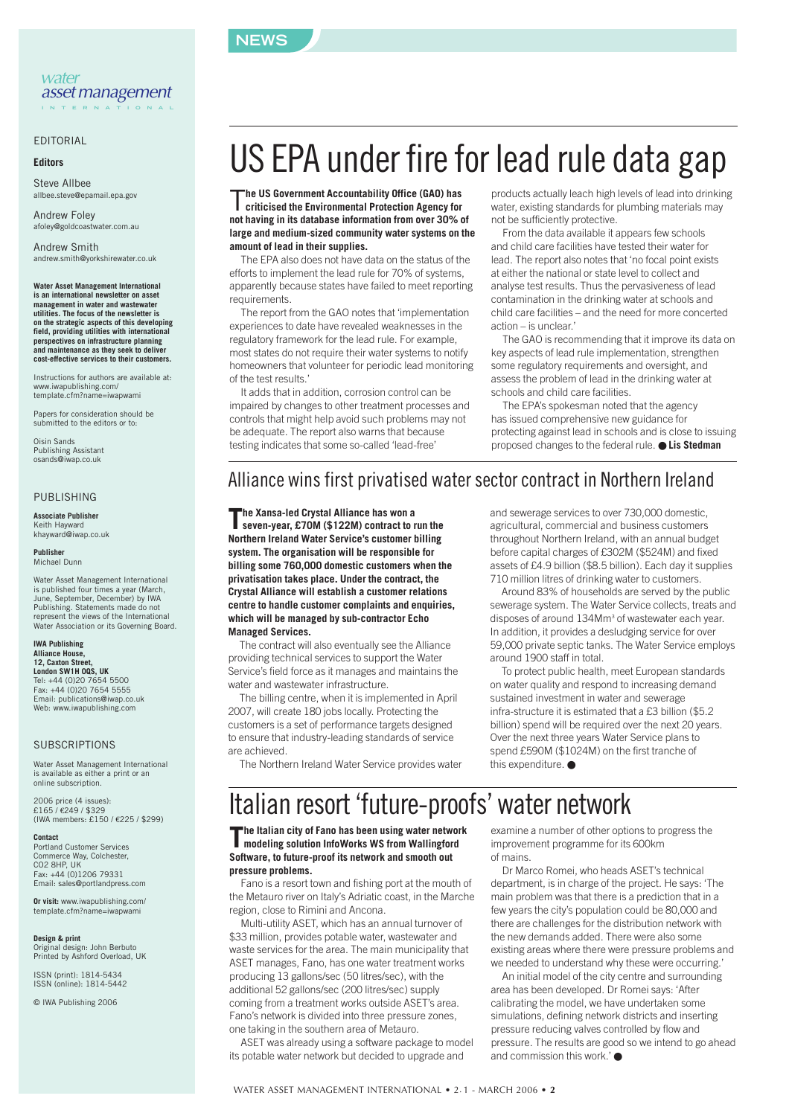

#### *water assetmanagement*  **INTERNATIONAL**

#### EDITORIAL

#### **Editors**

Steve Allbee allbee.steve@epamail.epa.gov

Andrew Foley afoley@goldcoastwater.com.au

Andrew Smith andrew.smith@yorkshirewater.co.uk

**Water Asset Management International is an international newsletter on asset management in water and wastewater utilities. The focus of the newsletter is on the strategic aspects of this developing field, providing utilities with international perspectives on infrastructure planning and maintenance as they seek to deliver cost-effective services to their customers.**

Instructions for authors are available at: www.iwapublishing.com/ template.cfm?name=iwapwami

Papers for consideration should be submitted to the editors or to:

Oisin Sands Publishing Assistant osands@iwap.co.uk

#### PUBLISHING

**Associate Publisher** Keith Hayward khayward@iwap.co.uk

**Publisher** Michael Dunn

Water Asset Management International is published four times a year (March, June, September, December) by IWA Publishing. Statements made do not represent the views of the International Water Association or its Governing Board.

#### **IWA Publishing Alliance House, 12, Caxton Street, London SW1H 0QS, UK**<br>Tel: +44 (0)20 7654 5500<br>Fax: +44 (0)20 7654 5555 Email: publications@iwap.co.uk

Web: www.iwapublishing.com

#### **SUBSCRIPTIONS**

Water Asset Management International is available as either a print or an online subscription.

2006 price (4 issues): £165 / €249 / \$329 (IWA members: £150 / €225 / \$299)

**Contact** Portland Customer Services Commerce Way, Colchester, CO2 8HP, UK Fax: +44 (0)1206 79331 Email: sales@portlandpress.com

**Or visit:** www.iwapublishing.com/ template.cfm?name=iwapwami

**Design & print** Original design: John Berbuto Printed by Ashford Overload, UK

ISSN (print): 1814-5434 ISSN (online): 1814-5442

© IWA Publishing 2006

# US EPA under fire for lead rule data gap

T**he US Government Accountability Office (GAO) has criticised the Environmental Protection Agency for not having in its database information from over 30% of large and medium-sized community water systems on the amount of lead in their supplies.**

The EPA also does not have data on the status of the efforts to implement the lead rule for 70% of systems, apparently because states have failed to meet reporting requirements.

The report from the GAO notes that 'implementation experiences to date have revealed weaknesses in the regulatory framework for the lead rule. For example, most states do not require their water systems to notify homeowners that volunteer for periodic lead monitoring of the test results.'

It adds that in addition, corrosion control can be impaired by changes to other treatment processes and controls that might help avoid such problems may not be adequate. The report also warns that because testing indicates that some so-called 'lead-free'

products actually leach high levels of lead into drinking water, existing standards for plumbing materials may not be sufficiently protective.

From the data available it appears few schools and child care facilities have tested their water for lead. The report also notes that 'no focal point exists at either the national or state level to collect and analyse test results. Thus the pervasiveness of lead contamination in the drinking water at schools and child care facilities – and the need for more concerted action – is unclear.'

The GAO is recommending that it improve its data on key aspects of lead rule implementation, strengthen some regulatory requirements and oversight, and assess the problem of lead in the drinking water at schools and child care facilities.

The EPA's spokesman noted that the agency has issued comprehensive new guidance for protecting against lead in schools and is close to issuing proposed changes to the federal rule. ● **Lis Stedman**

### Alliance wins first privatised water sector contract in Northern Ireland

**The Xansa-led Crystal Alliance has won a seven-year, £70M (\$122M) contract to run the Northern Ireland Water Service's customer billing system. The organisation will be responsible for billing some 760,000 domestic customers when the privatisation takes place. Under the contract, the Crystal Alliance will establish a customer relations centre to handle customer complaints and enquiries, which will be managed by sub-contractor Echo Managed Services.**

The contract will also eventually see the Alliance providing technical services to support the Water Service's field force as it manages and maintains the water and wastewater infrastructure.

The billing centre, when it is implemented in April 2007, will create 180 jobs locally. Protecting the customers is a set of performance targets designed to ensure that industry-leading standards of service are achieved.

The Northern Ireland Water Service provides water

and sewerage services to over 730,000 domestic, agricultural, commercial and business customers throughout Northern Ireland, with an annual budget before capital charges of £302M (\$524M) and fixed assets of £4.9 billion (\$8.5 billion). Each day it supplies 710 million litres of drinking water to customers.

Around 83% of households are served by the public sewerage system. The Water Service collects, treats and disposes of around 134Mm3 of wastewater each year. In addition, it provides a desludging service for over 59,000 private septic tanks. The Water Service employs around 1900 staff in total.

To protect public health, meet European standards on water quality and respond to increasing demand sustained investment in water and sewerage infra-structure it is estimated that a £3 billion (\$5.2 billion) spend will be required over the next 20 years. Over the next three years Water Service plans to spend £590M (\$1024M) on the first tranche of this expenditure. ●

## Italian resort 'future-proofs' water network

**The Italian city of Fano has been using water network modeling solution InfoWorks WS from Wallingford Software, to future-proof its network and smooth out pressure problems.**

Fano is a resort town and fishing port at the mouth of the Metauro river on Italy's Adriatic coast, in the Marche region, close to Rimini and Ancona.

Multi-utility ASET, which has an annual turnover of \$33 million, provides potable water, wastewater and waste services for the area. The main municipality that ASET manages, Fano, has one water treatment works producing 13 gallons/sec (50 litres/sec), with the additional 52 gallons/sec (200 litres/sec) supply coming from a treatment works outside ASET's area. Fano's network is divided into three pressure zones, one taking in the southern area of Metauro.

ASET was already using a software package to model its potable water network but decided to upgrade and

examine a number of other options to progress the improvement programme for its 600km of mains.

Dr Marco Romei, who heads ASET's technical department, is in charge of the project. He says: 'The main problem was that there is a prediction that in a few years the city's population could be 80,000 and there are challenges for the distribution network with the new demands added. There were also some existing areas where there were pressure problems and we needed to understand why these were occurring.'

An initial model of the city centre and surrounding area has been developed. Dr Romei says: 'After calibrating the model, we have undertaken some simulations, defining network districts and inserting pressure reducing valves controlled by flow and pressure. The results are good so we intend to go ahead and commission this work.'  $\bullet$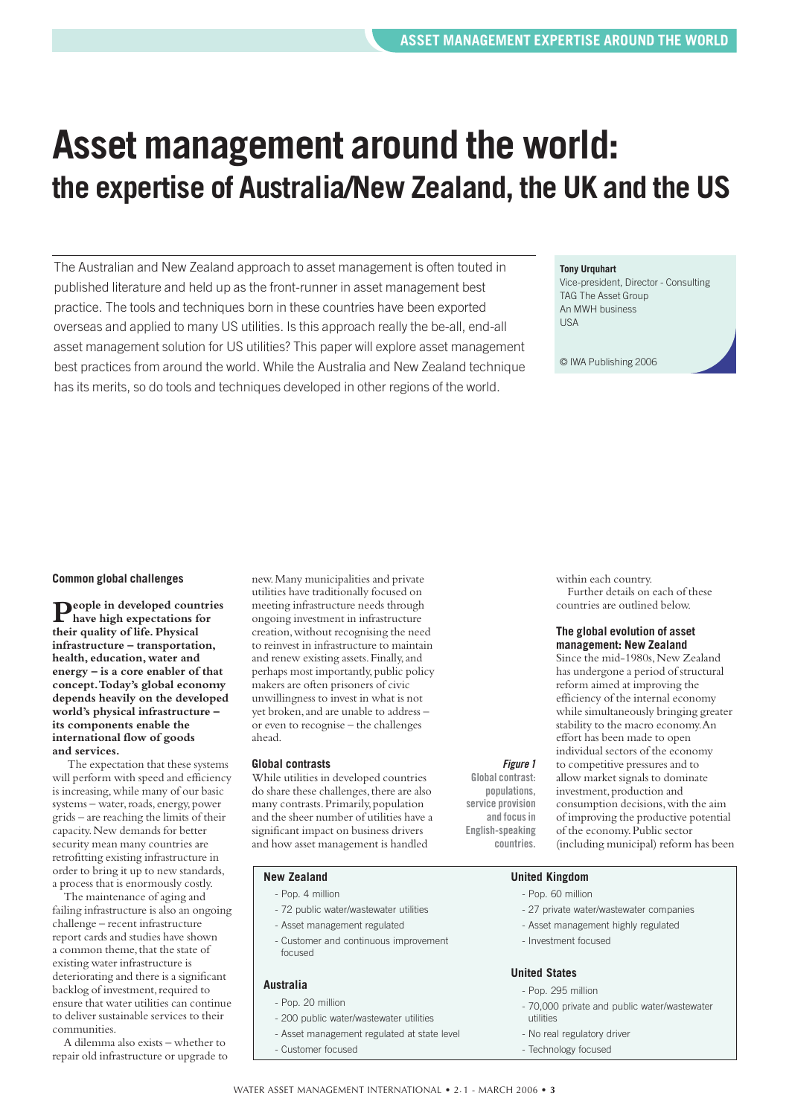# <span id="page-2-0"></span>**Asset management around the world: the expertise of Australia/New Zealand, the UK and the US**

The Australian and New Zealand approach to asset management is often touted in published literature and held up as the front-runner in asset management best practice. The tools and techniques born in these countries have been exported overseas and applied to many US utilities. Is this approach really the be-all, end-all asset management solution for US utilities? This paper will explore asset management best practices from around the world. While the Australia and New Zealand technique has its merits, so do tools and techniques developed in other regions of the world.

#### **Tony Urquhart**

Vice-president, Director - Consulting TAG The Asset Group An MWH business **IISA** 

© IWA Publishing 2006

#### **Common global challenges**

**People in developed countries have high expectations for their quality of life.Physical infrastructure – transportation, health,education, water and energy – is a core enabler of that concept.Today's global economy depends heavily on the developed world's physical infrastructure – its components enable the international flow of goods and services.**

The expectation that these systems will perform with speed and efficiency is increasing,while many of our basic systems – water, roads, energy, power grids – are reaching the limits of their capacity.New demands for better security mean many countries are retrofitting existing infrastructure in order to bring it up to new standards, a process that is enormously costly.

The maintenance of aging and failing infrastructure is also an ongoing challenge – recent infrastructure report cards and studies have shown a common theme, that the state of existing water infrastructure is deteriorating and there is a significant backlog of investment, required to ensure that water utilities can continue to deliver sustainable services to their communities.

A dilemma also exists – whether to repair old infrastructure or upgrade to

new.Many municipalities and private utilities have traditionally focused on meeting infrastructure needs through ongoing investment in infrastructure creation,without recognising the need to reinvest in infrastructure to maintain and renew existing assets.Finally,and perhaps most importantly, public policy makers are often prisoners of civic unwillingness to invest in what is not yet broken,and are unable to address – or even to recognise – the challenges ahead.

#### **Global contrasts**

While utilities in developed countries do share these challenges, there are also many contrasts. Primarily, population and the sheer number of utilities have a significant impact on business drivers and how asset management is handled

#### **Global contrast:**

*Figure 1*

**populations, service provision and focus in English-speaking countries.** 

within each country. Further details on each of these countries are outlined below.

#### **The global evolution of asset management: New Zealand**

Since the mid-1980s, New Zealand has undergone a period of structural reform aimed at improving the efficiency of the internal economy while simultaneously bringing greater stability to the macro economy.An effort has been made to open individual sectors of the economy to competitive pressures and to allow market signals to dominate investment, production and consumption decisions,with the aim of improving the productive potential of the economy.Public sector (including municipal) reform has been

#### **New Zealand**

- Pop. 4 million
- 72 public water/wastewater utilities
- Asset management regulated
- Customer and continuous improvement focused

#### **Australia**

- Pop. 20 million
	- 200 public water/wastewater utilities
	- Asset management regulated at state level
	- Customer focused

#### **United Kingdom**

- Pop. 60 million
- 27 private water/wastewater companies
- Asset management highly regulated
- Investment focused

#### **United States**

- Pop. 295 million
- 70,000 private and public water/wastewater utilities
- No real regulatory driver
- Technology focused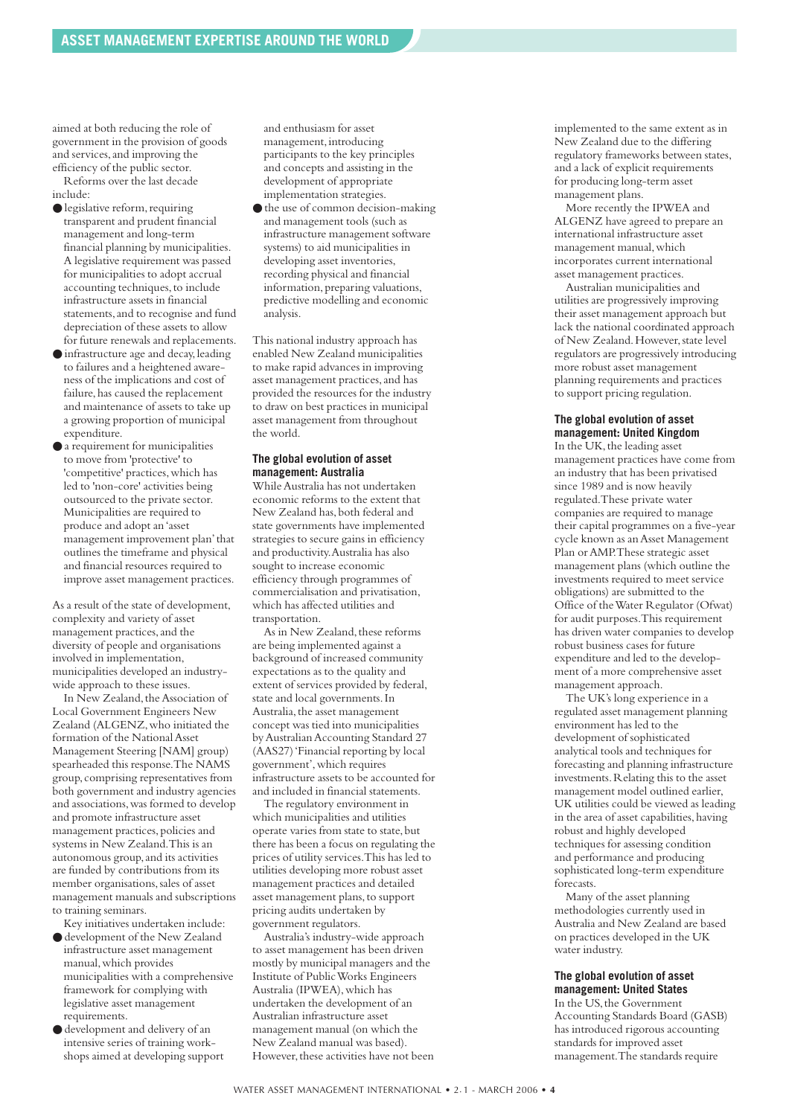aimed at both reducing the role of government in the provision of goods and services,and improving the efficiency of the public sector.

Reforms over the last decade include:

- legislative reform,requiring transparent and prudent financial management and long-term financial planning by municipalities. A legislative requirement was passed for municipalities to adopt accrual accounting techniques, to include infrastructure assets in financial statements, and to recognise and fund depreciation of these assets to allow for future renewals and replacements.
- infrastructure age and decay,leading to failures and a heightened awareness of the implications and cost of failure, has caused the replacement and maintenance of assets to take up a growing proportion of municipal expenditure.
- a requirement for municipalities to move from 'protective' to 'competitive' practices, which has led to 'non-core' activities being outsourced to the private sector. Municipalities are required to produce and adopt an 'asset management improvement plan'that outlines the timeframe and physical and financial resources required to improve asset management practices.

As a result of the state of development, complexity and variety of asset management practices,and the diversity of people and organisations involved in implementation, municipalities developed an industrywide approach to these issues.

In New Zealand, the Association of Local Government Engineers New Zealand (ALGENZ,who initiated the formation of the National Asset Management Steering [NAM] group) spearheaded this response.The NAMS group,comprising representatives from both government and industry agencies and associations,was formed to develop and promote infrastructure asset management practices,policies and systems in New Zealand.This is an autonomous group,and its activities are funded by contributions from its member organisations, sales of asset management manuals and subscriptions to training seminars.

Key initiatives undertaken include:

- development of the New Zealand infrastructure asset management manual,which provides municipalities with a comprehensive framework for complying with legislative asset management requirements.
- development and delivery of an intensive series of training workshops aimed at developing support

and enthusiasm for asset management, introducing participants to the key principles and concepts and assisting in the development of appropriate implementation strategies.

● the use of common decision-making and management tools (such as infrastructure management software systems) to aid municipalities in developing asset inventories, recording physical and financial information, preparing valuations, predictive modelling and economic analysis.

This national industry approach has enabled New Zealand municipalities to make rapid advances in improving asset management practices,and has provided the resources for the industry to draw on best practices in municipal asset management from throughout the world.

#### **The global evolution of asset management: Australia**

While Australia has not undertaken economic reforms to the extent that New Zealand has, both federal and state governments have implemented strategies to secure gains in efficiency and productivity.Australia has also sought to increase economic efficiency through programmes of commercialisation and privatisation, which has affected utilities and transportation.

As in New Zealand, these reforms are being implemented against a background of increased community expectations as to the quality and extent of services provided by federal, state and local governments.In Australia,the asset management concept was tied into municipalities byAustralian Accounting Standard 27 (AAS27) 'Financial reporting by local government',which requires infrastructure assets to be accounted for and included in financial statements.

The regulatory environment in which municipalities and utilities operate varies from state to state, but there has been a focus on regulating the prices of utility services.This has led to utilities developing more robust asset management practices and detailed asset management plans,to support pricing audits undertaken by government regulators.

Australia's industry-wide approach to asset management has been driven mostly by municipal managers and the Institute of Public Works Engineers Australia (IPWEA),which has undertaken the development of an Australian infrastructure asset management manual (on which the New Zealand manual was based). However, these activities have not been implemented to the same extent as in New Zealand due to the differing regulatory frameworks between states, and a lack of explicit requirements for producing long-term asset management plans.

More recently the IPWEA and ALGENZ have agreed to prepare an international infrastructure asset management manual,which incorporates current international asset management practices.

Australian municipalities and utilities are progressively improving their asset management approach but lack the national coordinated approach of New Zealand. However, state level regulators are progressively introducing more robust asset management planning requirements and practices to support pricing regulation.

#### **The global evolution of asset management: United Kingdom**

In the UK, the leading asset management practices have come from an industry that has been privatised since 1989 and is now heavily regulated.These private water companies are required to manage their capital programmes on a five-year cycle known as an Asset Management Plan or AMP.These strategic asset management plans (which outline the investments required to meet service obligations) are submitted to the Office of the Water Regulator (Ofwat) for audit purposes.This requirement has driven water companies to develop robust business cases for future expenditure and led to the development of a more comprehensive asset management approach.

The UK's long experience in a regulated asset management planning environment has led to the development of sophisticated analytical tools and techniques for forecasting and planning infrastructure investments.Relating this to the asset management model outlined earlier, UK utilities could be viewed as leading in the area of asset capabilities, having robust and highly developed techniques for assessing condition and performance and producing sophisticated long-term expenditure forecasts.

Many of the asset planning methodologies currently used in Australia and New Zealand are based on practices developed in the UK water industry.

#### **The global evolution of asset management: United States**

In the US, the Government Accounting Standards Board (GASB) has introduced rigorous accounting standards for improved asset management.The standards require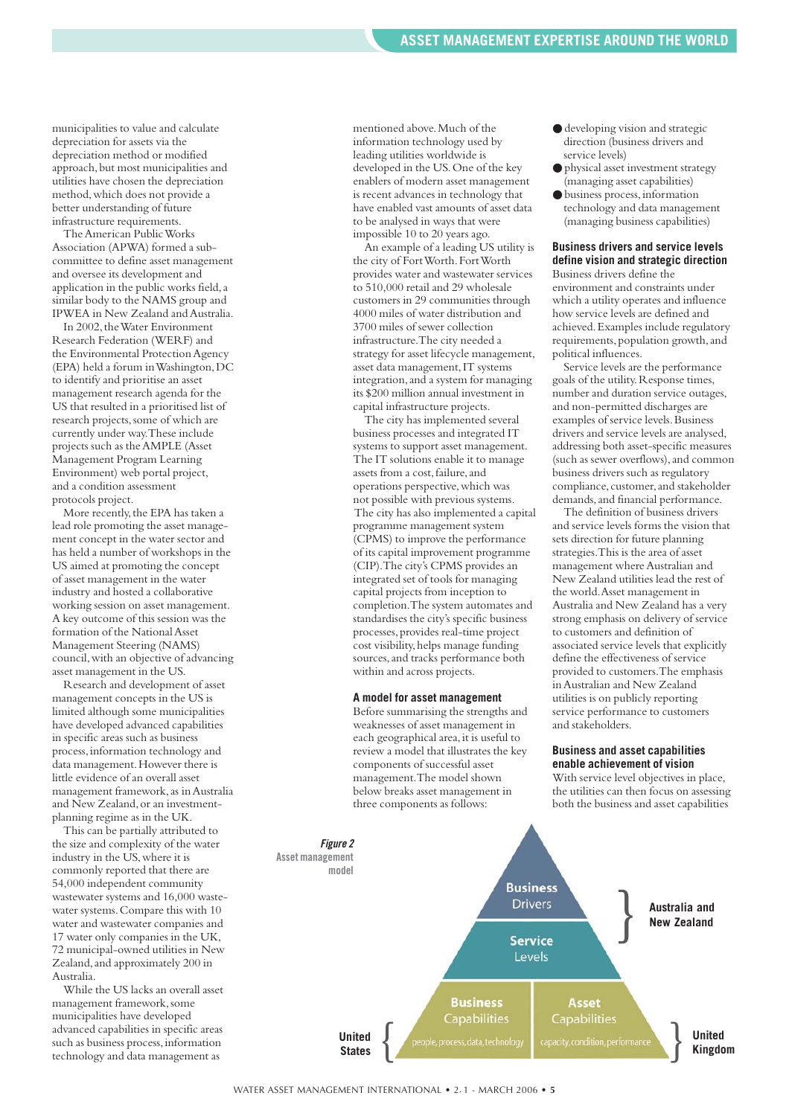municipalities to value and calculate depreciation for assets via the depreciation method or modified approach,but most municipalities and utilities have chosen the depreciation method,which does not provide a better understanding of future infrastructure requirements.

The American Public Works Association (APWA) formed a subcommittee to define asset management and oversee its development and application in the public works field,a similar body to the NAMS group and IPWEA in New Zealand and Australia.

In 2002, the Water Environment Research Federation (WERF) and the Environmental Protection Agency (EPA) held a forum in Washington,DC to identify and prioritise an asset management research agenda for the US that resulted in a prioritised list of research projects, some of which are currently under way.These include projects such as the AMPLE (Asset Management Program Learning Environment) web portal project, and a condition assessment protocols project.

More recently, the EPA has taken a lead role promoting the asset management concept in the water sector and has held a number of workshops in the US aimed at promoting the concept of asset management in the water industry and hosted a collaborative working session on asset management. A key outcome of this session was the formation of the National Asset Management Steering (NAMS) council,with an objective of advancing asset management in the US.

Research and development of asset management concepts in the US is limited although some municipalities have developed advanced capabilities in specific areas such as business process,information technology and data management.However there is little evidence of an overall asset management framework, as in Australia and New Zealand,or an investmentplanning regime as in the UK.

This can be partially attributed to the size and complexity of the water industry in the US,where it is commonly reported that there are 54,000 independent community wastewater systems and 16,000 wastewater systems.Compare this with 10 water and wastewater companies and 17 water only companies in the UK, 72 municipal-owned utilities in New Zealand,and approximately 200 in Australia.

While the US lacks an overall asset management framework, some municipalities have developed advanced capabilities in specific areas such as business process, information technology and data management as

mentioned above.Much of the information technology used by leading utilities worldwide is developed in the US.One of the key enablers of modern asset management is recent advances in technology that have enabled vast amounts of asset data to be analysed in ways that were impossible 10 to 20 years ago.

An example of a leading US utility is the city of Fort Worth.Fort Worth provides water and wastewater services to 510,000 retail and 29 wholesale customers in 29 communities through 4000 miles of water distribution and 3700 miles of sewer collection infrastructure.The city needed a strategy for asset lifecycle management, asset data management,IT systems integration,and a system for managing its \$200 million annual investment in capital infrastructure projects.

The city has implemented several business processes and integrated IT systems to support asset management. The IT solutions enable it to manage assets from a cost, failure, and operations perspective, which was not possible with previous systems. The city has also implemented a capital programme management system (CPMS) to improve the performance of its capital improvement programme (CIP).The city's CPMS provides an integrated set of tools for managing capital projects from inception to completion.The system automates and standardises the city's specific business processes,provides real-time project cost visibility, helps manage funding sources,and tracks performance both within and across projects.

#### **A model for asset management**

Before summarising the strengths and weaknesses of asset management in each geographical area, it is useful to review a model that illustrates the key components of successful asset management.The model shown below breaks asset management in three components as follows:

- developing vision and strategic direction (business drivers and service levels)
- physical asset investment strategy (managing asset capabilities)
- business process,information technology and data management (managing business capabilities)

#### **Business drivers and service levels define vision and strategic direction**

Business drivers define the environment and constraints under which a utility operates and influence how service levels are defined and achieved.Examples include regulatory requirements, population growth, and political influences.

Service levels are the performance goals of the utility.Response times, number and duration service outages, and non-permitted discharges are examples of service levels. Business drivers and service levels are analysed, addressing both asset-specific measures (such as sewer overflows),and common business drivers such as regulatory compliance, customer, and stakeholder demands,and financial performance.

The definition of business drivers and service levels forms the vision that sets direction for future planning strategies.This is the area of asset management where Australian and New Zealand utilities lead the rest of the world.Asset management in Australia and New Zealand has a very strong emphasis on delivery of service to customers and definition of associated service levels that explicitly define the effectiveness of service provided to customers.The emphasis in Australian and New Zealand utilities is on publicly reporting service performance to customers and stakeholders.

#### **Business and asset capabilities enable achievement of vision**

With service level objectives in place. the utilities can then focus on assessing both the business and asset capabilities

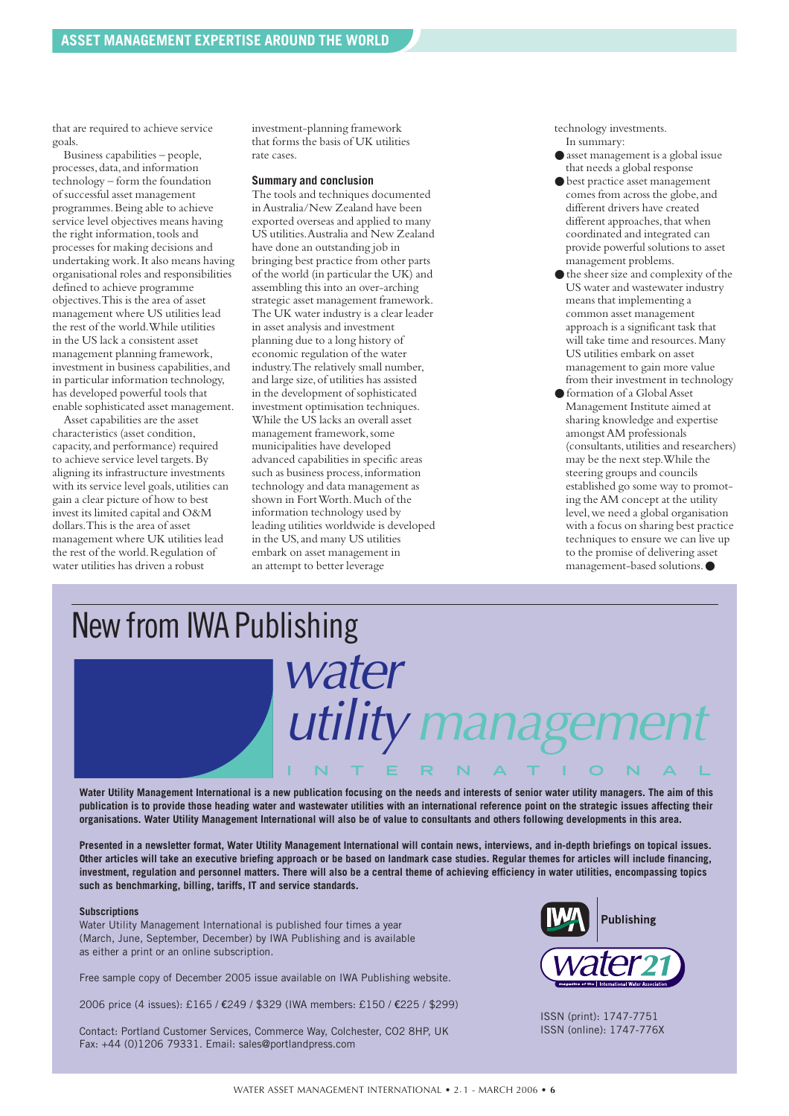that are required to achieve service goals.

Business capabilities – people, processes,data,and information technology – form the foundation of successful asset management programmes.Being able to achieve service level objectives means having the right information, tools and processes for making decisions and undertaking work.It also means having organisational roles and responsibilities defined to achieve programme objectives.This is the area of asset management where US utilities lead the rest of the world.While utilities in the US lack a consistent asset management planning framework, investment in business capabilities, and in particular information technology, has developed powerful tools that enable sophisticated asset management.

Asset capabilities are the asset characteristics (asset condition, capacity,and performance) required to achieve service level targets.By aligning its infrastructure investments with its service level goals, utilities can gain a clear picture of how to best invest its limited capital and O&M dollars.This is the area of asset management where UK utilities lead the rest of the world. Regulation of water utilities has driven a robust

investment-planning framework that forms the basis of UK utilities rate cases.

#### **Summary and conclusion**

The tools and techniques documented in Australia/New Zealand have been exported overseas and applied to many US utilities.Australia and New Zealand have done an outstanding job in bringing best practice from other parts of the world (in particular the UK) and assembling this into an over-arching strategic asset management framework. The UK water industry is a clear leader in asset analysis and investment planning due to a long history of economic regulation of the water industry.The relatively small number, and large size, of utilities has assisted in the development of sophisticated investment optimisation techniques. While the US lacks an overall asset management framework,some municipalities have developed advanced capabilities in specific areas such as business process, information technology and data management as shown in Fort Worth. Much of the information technology used by leading utilities worldwide is developed in the US,and many US utilities embark on asset management in an attempt to better leverage

technology investments. In summary:

- asset management is a global issue that needs a global response
- best practice asset management comes from across the globe,and different drivers have created different approaches, that when coordinated and integrated can provide powerful solutions to asset management problems.
- the sheer size and complexity of the US water and wastewater industry means that implementing a common asset management approach is a significant task that will take time and resources.Many US utilities embark on asset management to gain more value from their investment in technology
- formation of a Global Asset Management Institute aimed at sharing knowledge and expertise amongst AM professionals (consultants,utilities and researchers) may be the next step.While the steering groups and councils established go some way to promoting the AM concept at the utility level,we need a global organisation with a focus on sharing best practice techniques to ensure we can live up to the promise of delivering asset management-based solutions.●



**Water Utility Management International is a new publication focusing on the needs and interests of senior water utility managers. The aim of this publication is to provide those heading water and wastewater utilities with an international reference point on the strategic issues affecting their organisations. Water Utility Management International will also be of value to consultants and others following developments in this area.**

**Presented in a newsletter format, Water Utility Management International will contain news, interviews, and in-depth briefings on topical issues. Other articles will take an executive briefing approach or be based on landmark case studies. Regular themes for articles will include financing, investment, regulation and personnel matters. There will also be a central theme of achieving efficiency in water utilities, encompassing topics such as benchmarking, billing, tariffs, IT and service standards.**

#### **Subscriptions**

Water Utility Management International is published four times a year (March, June, September, December) by IWA Publishing and is available as either a print or an online subscription.

Free sample copy of December 2005 issue available on IWA Publishing website.

2006 price (4 issues): £165 / €249 / \$329 (IWA members: £150 / €225 / \$299)

Contact: Portland Customer Services, Commerce Way, Colchester, CO2 8HP, UK Fax: +44 (0)1206 79331. Email: sales@portlandpress.com



ISSN (print): 1747-7751 ISSN (online): 1747-776X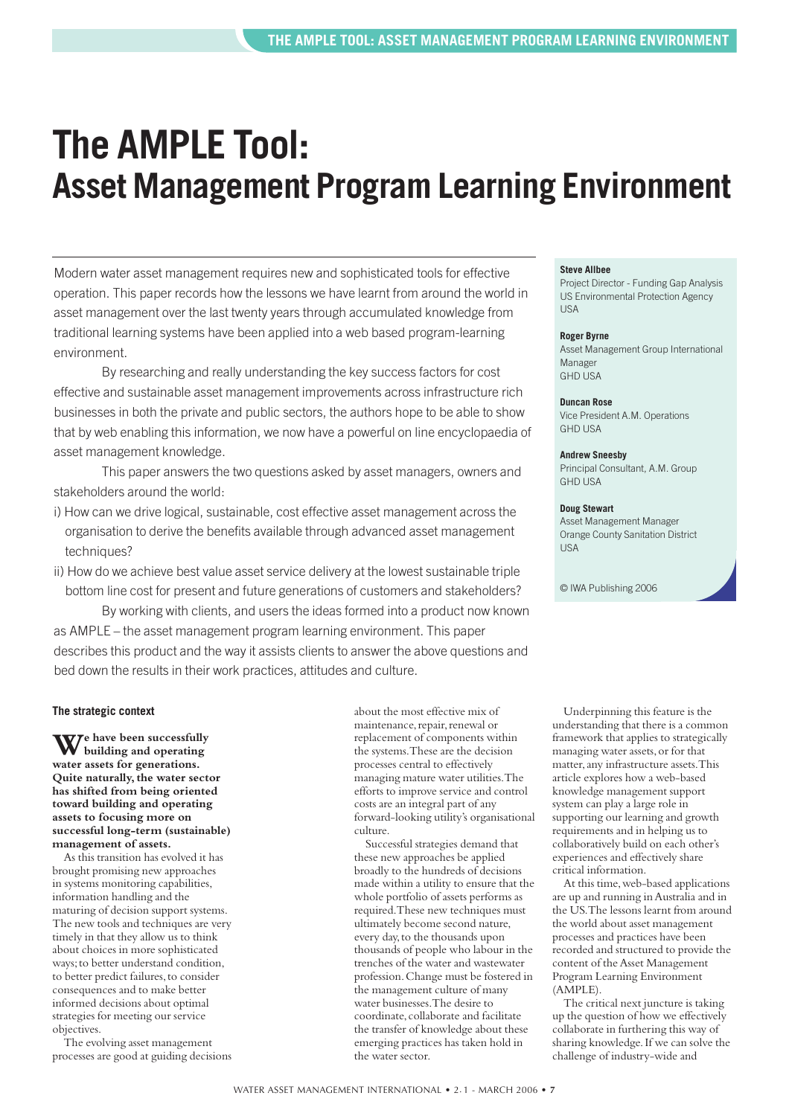# <span id="page-6-0"></span>**The AMPLE Tool: Asset Management Program Learning Environment**

Modern water asset management requires new and sophisticated tools for effective operation. This paper records how the lessons we have learnt from around the world in asset management over the last twenty years through accumulated knowledge from traditional learning systems have been applied into a web based program-learning environment.

By researching and really understanding the key success factors for cost effective and sustainable asset management improvements across infrastructure rich businesses in both the private and public sectors, the authors hope to be able to show that by web enabling this information, we now have a powerful on line encyclopaedia of asset management knowledge.

This paper answers the two questions asked by asset managers, owners and stakeholders around the world:

- i) How can we drive logical, sustainable, cost effective asset management across the organisation to derive the benefits available through advanced asset management techniques?
- ii) How do we achieve best value asset service delivery at the lowest sustainable triple bottom line cost for present and future generations of customers and stakeholders?

By working with clients, and users the ideas formed into a product now known as AMPLE – the asset management program learning environment. This paper describes this product and the way it assists clients to answer the above questions and bed down the results in their work practices, attitudes and culture.

#### **The strategic context**

**We have been successfully building and operating water assets for generations. Quite naturally, the water sector has shifted from being oriented toward building and operating assets to focusing more on successful long-term (sustainable) management of assets.**

As this transition has evolved it has brought promising new approaches in systems monitoring capabilities, information handling and the maturing of decision support systems. The new tools and techniques are very timely in that they allow us to think about choices in more sophisticated ways;to better understand condition, to better predict failures, to consider consequences and to make better informed decisions about optimal strategies for meeting our service objectives.

The evolving asset management processes are good at guiding decisions

about the most effective mix of maintenance, repair, renewal or replacement of components within the systems.These are the decision processes central to effectively managing mature water utilities.The efforts to improve service and control costs are an integral part of any forward-looking utility's organisational culture.

Successful strategies demand that these new approaches be applied broadly to the hundreds of decisions made within a utility to ensure that the whole portfolio of assets performs as required.These new techniques must ultimately become second nature, every day,to the thousands upon thousands of people who labour in the trenches of the water and wastewater profession.Change must be fostered in the management culture of many water businesses.The desire to coordinate, collaborate and facilitate the transfer of knowledge about these emerging practices has taken hold in the water sector.

#### **Steve Allbee**

Project Director - Funding Gap Analysis US Environmental Protection Agency USA

#### **Roger Byrne**

Asset Management Group International Manager GHD USA

#### **Duncan Rose**

Vice President A.M. Operations GHD USA

#### **Andrew Sneesby**

Principal Consultant, A.M. Group GHD USA

#### **Doug Stewart**

Asset Management Manager Orange County Sanitation District USA

© IWA Publishing 2006

Underpinning this feature is the understanding that there is a common framework that applies to strategically managing water assets,or for that matter,any infrastructure assets.This article explores how a web-based knowledge management support system can play a large role in supporting our learning and growth requirements and in helping us to collaboratively build on each other's experiences and effectively share critical information.

At this time, web-based applications are up and running in Australia and in the US.The lessons learnt from around the world about asset management processes and practices have been recorded and structured to provide the content of the Asset Management Program Learning Environment (AMPLE).

The critical next juncture is taking up the question of how we effectively collaborate in furthering this way of sharing knowledge.If we can solve the challenge of industry-wide and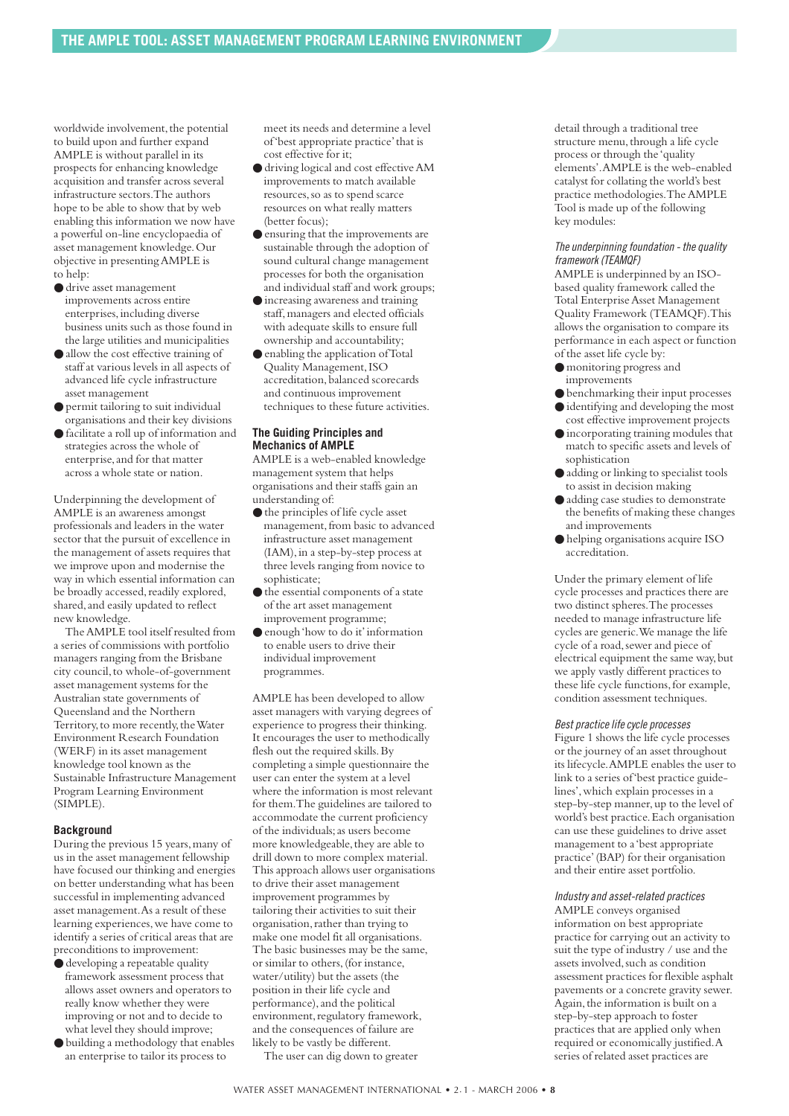worldwide involvement, the potential to build upon and further expand AMPLE is without parallel in its prospects for enhancing knowledge acquisition and transfer across several infrastructure sectors.The authors hope to be able to show that by web enabling this information we now have a powerful on-line encyclopaedia of asset management knowledge.Our objective in presenting AMPLE is to help:

- drive asset management improvements across entire enterprises,including diverse business units such as those found in the large utilities and municipalities
- allow the cost effective training of staff at various levels in all aspects of advanced life cycle infrastructure asset management
- permit tailoring to suit individual organisations and their key divisions
- facilitate a roll up of information and strategies across the whole of enterprise, and for that matter across a whole state or nation.

Underpinning the development of AMPLE is an awareness amongst professionals and leaders in the water sector that the pursuit of excellence in the management of assets requires that we improve upon and modernise the way in which essential information can be broadly accessed, readily explored, shared, and easily updated to reflect new knowledge.

The AMPLE tool itself resulted from a series of commissions with portfolio managers ranging from the Brisbane city council, to whole-of-government asset management systems for the Australian state governments of Queensland and the Northern Territory, to more recently, the Water Environment Research Foundation (WERF) in its asset management knowledge tool known as the Sustainable Infrastructure Management Program Learning Environment (SIMPLE).

#### **Background**

During the previous 15 years,many of us in the asset management fellowship have focused our thinking and energies on better understanding what has been successful in implementing advanced asset management.As a result of these learning experiences,we have come to identify a series of critical areas that are preconditions to improvement:

- $\bullet$  developing a repeatable quality framework assessment process that allows asset owners and operators to really know whether they were improving or not and to decide to what level they should improve;
- building a methodology that enables an enterprise to tailor its process to

meet its needs and determine a level of 'best appropriate practice'that is cost effective for it;

- driving logical and cost effective AM improvements to match available resources,so as to spend scarce resources on what really matters (better focus);
- ensuring that the improvements are sustainable through the adoption of sound cultural change management processes for both the organisation and individual staff and work groups;
- increasing awareness and training staff,managers and elected officials with adequate skills to ensure full ownership and accountability;
- enabling the application of Total Quality Management,ISO accreditation, balanced scorecards and continuous improvement techniques to these future activities.

#### **The Guiding Principles and Mechanics of AMPLE**

AMPLE is a web-enabled knowledge management system that helps organisations and their staffs gain an understanding of:

- the principles of life cycle asset management, from basic to advanced infrastructure asset management (IAM),in a step-by-step process at three levels ranging from novice to sophisticate;
- the essential components of a state of the art asset management improvement programme;
- enough 'how to do it'information to enable users to drive their individual improvement programmes.

AMPLE has been developed to allow asset managers with varying degrees of experience to progress their thinking. It encourages the user to methodically flesh out the required skills.By completing a simple questionnaire the user can enter the system at a level where the information is most relevant for them.The guidelines are tailored to accommodate the current proficiency of the individuals;as users become more knowledgeable, they are able to drill down to more complex material. This approach allows user organisations to drive their asset management improvement programmes by tailoring their activities to suit their organisation,rather than trying to make one model fit all organisations. The basic businesses may be the same, or similar to others,(for instance, water/utility) but the assets (the position in their life cycle and performance),and the political environment, regulatory framework, and the consequences of failure are likely to be vastly be different.

The user can dig down to greater

detail through a traditional tree structure menu, through a life cycle process or through the 'quality elements'.AMPLE is the web-enabled catalyst for collating the world's best practice methodologies.The AMPLE Tool is made up of the following key modules:

#### *The underpinning foundation - the quality framework (TEAMQF)*

AMPLE is underpinned by an ISObased quality framework called the Total Enterprise Asset Management Quality Framework (TEAMQF).This allows the organisation to compare its performance in each aspect or function of the asset life cycle by:

- monitoring progress and improvements
- benchmarking their input processes
- identifying and developing the most cost effective improvement projects
- incorporating training modules that match to specific assets and levels of sophistication
- adding or linking to specialist tools to assist in decision making
- adding case studies to demonstrate the benefits of making these changes and improvements
- helping organisations acquire ISO accreditation.

Under the primary element of life cycle processes and practices there are two distinct spheres.The processes needed to manage infrastructure life cycles are generic.We manage the life cycle of a road,sewer and piece of electrical equipment the same way,but we apply vastly different practices to these life cycle functions,for example, condition assessment techniques.

#### *Best practice life cycle processes*

Figure 1 shows the life cycle processes or the journey of an asset throughout its lifecycle.AMPLE enables the user to link to a series of 'best practice guidelines',which explain processes in a step-by-step manner, up to the level of world's best practice.Each organisation can use these guidelines to drive asset management to a 'best appropriate practice'(BAP) for their organisation and their entire asset portfolio.

#### *Industry and asset-related practices*

AMPLE conveys organised information on best appropriate practice for carrying out an activity to suit the type of industry / use and the assets involved, such as condition assessment practices for flexible asphalt pavements or a concrete gravity sewer. Again, the information is built on a step-by-step approach to foster practices that are applied only when required or economically justified.A series of related asset practices are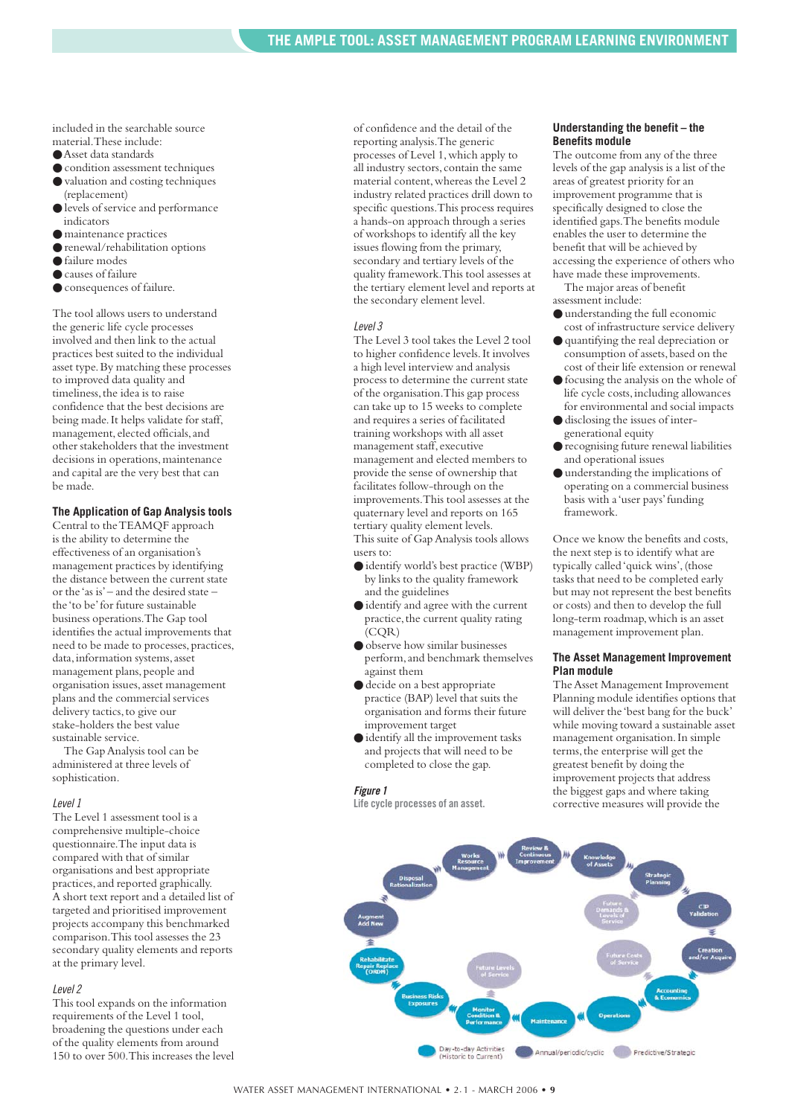included in the searchable source material.These include:

- Asset data standards
- $\bullet$  condition assessment techniques ● valuation and costing techniques
- (replacement) ● levels of service and performance
- indicators
- maintenance practices
- renewal/rehabilitation options
- failure modes ● causes of failure
- 
- consequences of failure.

The tool allows users to understand the generic life cycle processes involved and then link to the actual practices best suited to the individual asset type.By matching these processes to improved data quality and timeliness, the idea is to raise confidence that the best decisions are being made.It helps validate for staff, management, elected officials, and other stakeholders that the investment decisions in operations, maintenance and capital are the very best that can be made.

#### **The Application of Gap Analysis tools**

Central to the TEAMQF approach is the ability to determine the effectiveness of an organisation's management practices by identifying the distance between the current state or the 'as is'– and the desired state – the 'to be'for future sustainable business operations.The Gap tool identifies the actual improvements that need to be made to processes, practices, data, information systems, asset management plans, people and organisation issues,asset management plans and the commercial services delivery tactics,to give our stake-holders the best value sustainable service.

The Gap Analysis tool can be administered at three levels of sophistication.

#### *Level 1*

The Level 1 assessment tool is a comprehensive multiple-choice questionnaire.The input data is compared with that of similar organisations and best appropriate practices,and reported graphically. A short text report and a detailed list of targeted and prioritised improvement projects accompany this benchmarked comparison.This tool assesses the 23 secondary quality elements and reports at the primary level.

#### *Level 2*

This tool expands on the information requirements of the Level 1 tool, broadening the questions under each of the quality elements from around 150 to over 500.This increases the level of confidence and the detail of the reporting analysis.The generic processes of Level 1,which apply to all industry sectors,contain the same material content,whereas the Level 2 industry related practices drill down to specific questions.This process requires a hands-on approach through a series of workshops to identify all the key issues flowing from the primary, secondary and tertiary levels of the quality framework.This tool assesses at the tertiary element level and reports at the secondary element level.

#### *Level 3*

The Level 3 tool takes the Level 2 tool to higher confidence levels.It involves a high level interview and analysis process to determine the current state of the organisation.This gap process can take up to 15 weeks to complete and requires a series of facilitated training workshops with all asset management staff,executive management and elected members to provide the sense of ownership that facilitates follow-through on the improvements.This tool assesses at the quaternary level and reports on 165 tertiary quality element levels. This suite of Gap Analysis tools allows

users to:

- identify world's best practice (WBP) by links to the quality framework and the guidelines
- identify and agree with the current practice, the current quality rating (CQR)
- observe how similar businesses perform,and benchmark themselves against them
- decide on a best appropriate practice (BAP) level that suits the organisation and forms their future improvement target
- identify all the improvement tasks and projects that will need to be completed to close the gap.

#### *Figure 1*

**Life cycle processes of an asset.**

#### **Understanding the benefit – the Benefits module**

The outcome from any of the three levels of the gap analysis is a list of the areas of greatest priority for an improvement programme that is specifically designed to close the identified gaps.The benefits module enables the user to determine the benefit that will be achieved by accessing the experience of others who have made these improvements.

The major areas of benefit assessment include:

- understanding the full economic cost of infrastructure service delivery
- quantifying the real depreciation or consumption of assets, based on the cost of their life extension or renewal
- focusing the analysis on the whole of life cycle costs,including allowances for environmental and social impacts
- disclosing the issues of intergenerational equity
- recognising future renewal liabilities and operational issues
- understanding the implications of operating on a commercial business basis with a 'user pays'funding framework.

Once we know the benefits and costs, the next step is to identify what are typically called 'quick wins',(those tasks that need to be completed early but may not represent the best benefits or costs) and then to develop the full long-term roadmap, which is an asset management improvement plan.

#### **The Asset Management Improvement Plan module**

The Asset Management Improvement Planning module identifies options that will deliver the 'best bang for the buck' while moving toward a sustainable asset management organisation.In simple terms, the enterprise will get the greatest benefit by doing the improvement projects that address the biggest gaps and where taking corrective measures will provide the

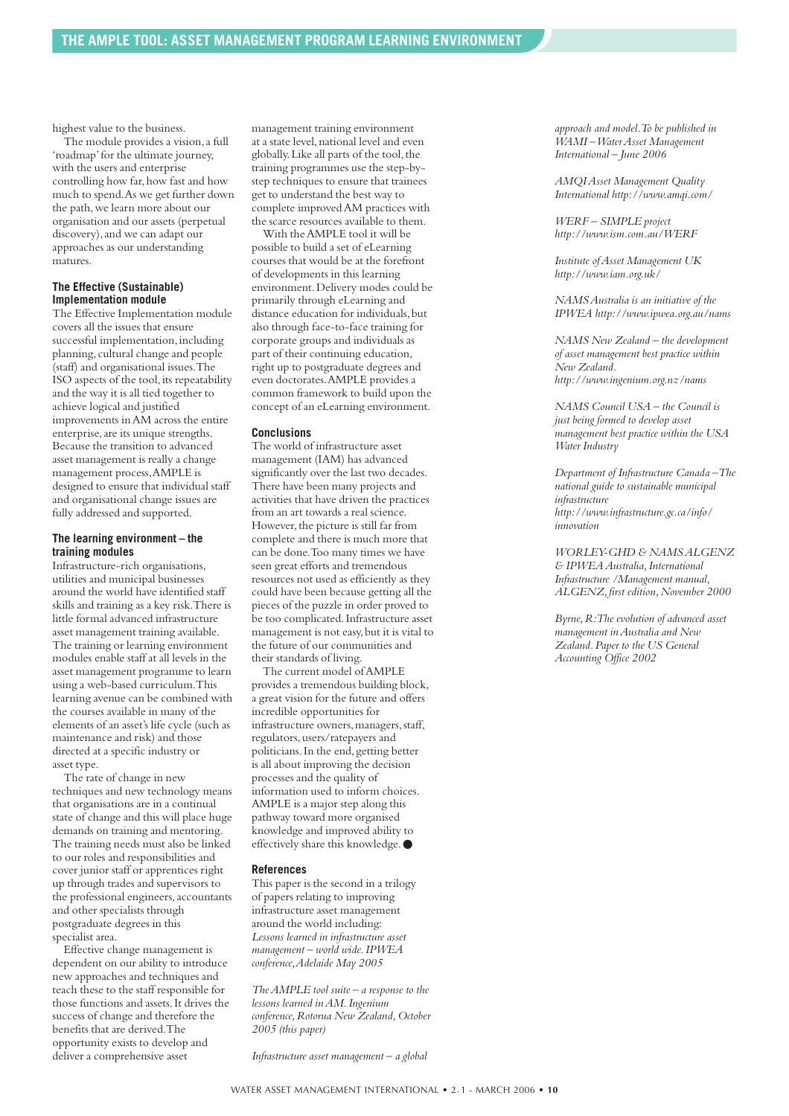highest value to the business.

The module provides a vision,a full 'roadmap'for the ultimate journey, with the users and enterprise controlling how far, how fast and how much to spend.As we get further down the path,we learn more about our organisation and our assets (perpetual discovery),and we can adapt our approaches as our understanding matures.

#### **The Effective (Sustainable) Implementation module**

The Effective Implementation module covers all the issues that ensure successful implementation, including planning, cultural change and people (staff) and organisational issues.The ISO aspects of the tool, its repeatability and the way it is all tied together to achieve logical and justified improvements in AM across the entire enterprise,are its unique strengths. Because the transition to advanced asset management is really a change management process,AMPLE is designed to ensure that individual staff and organisational change issues are fully addressed and supported.

#### **The learning environment – the training modules**

Infrastructure-rich organisations, utilities and municipal businesses around the world have identified staff skills and training as a key risk.There is little formal advanced infrastructure asset management training available. The training or learning environment modules enable staff at all levels in the asset management programme to learn using a web-based curriculum.This learning avenue can be combined with the courses available in many of the elements of an asset's life cycle (such as maintenance and risk) and those directed at a specific industry or asset type.

The rate of change in new techniques and new technology means that organisations are in a continual state of change and this will place huge demands on training and mentoring. The training needs must also be linked to our roles and responsibilities and cover junior staff or apprentices right up through trades and supervisors to the professional engineers,accountants and other specialists through postgraduate degrees in this specialist area.

Effective change management is dependent on our ability to introduce new approaches and techniques and teach these to the staff responsible for those functions and assets.It drives the success of change and therefore the benefits that are derived.The opportunity exists to develop and deliver a comprehensive asset

management training environment at a state level,national level and even globally. Like all parts of the tool, the training programmes use the step-bystep techniques to ensure that trainees get to understand the best way to complete improved AM practices with the scarce resources available to them.

With the AMPLE tool it will be possible to build a set of eLearning courses that would be at the forefront of developments in this learning environment.Delivery modes could be primarily through eLearning and distance education for individuals, but also through face-to-face training for corporate groups and individuals as part of their continuing education, right up to postgraduate degrees and even doctorates.AMPLE provides a common framework to build upon the concept of an eLearning environment.

#### **Conclusions**

The world of infrastructure asset management (IAM) has advanced significantly over the last two decades. There have been many projects and activities that have driven the practices from an art towards a real science. However, the picture is still far from complete and there is much more that can be done.Too many times we have seen great efforts and tremendous resources not used as efficiently as they could have been because getting all the pieces of the puzzle in order proved to be too complicated.Infrastructure asset management is not easy,but it is vital to the future of our communities and their standards of living.

The current model of AMPLE provides a tremendous building block, a great vision for the future and offers incredible opportunities for infrastructure owners, managers, staff, regulators,users/ratepayers and politicians.In the end,getting better is all about improving the decision processes and the quality of information used to inform choices. AMPLE is a major step along this pathway toward more organised knowledge and improved ability to effectively share this knowledge. ●

#### **References**

This paper is the second in a trilogy of papers relating to improving infrastructure asset management around the world including: *Lessons learned in infrastructure asset management – world wide.IPWEA conference,Adelaide May 2005* 

*The AMPLE tool suite – a response to the lessons learned in AM.Ingenium conference,Rotorua New Zealand,October 2005 (this paper)* 

*Infrastructure asset management – a global*

*AMQI Asset Management Quality International http://www.amqi.com/*

*WERF – SIMPLE project http://www.ism.com.au/WERF*

*Institute of Asset Management UK http://www.iam.org.uk/* 

*NAMS Australia is an initiative of the IPWEA http://www.ipwea.org.au/nams*

*NAMS New Zealand – the development of asset management best practice within New Zealand. http://www.ingenium.org.nz/nams*

*NAMS Council USA – the Council is just being formed to develop asset management best practice within the USA Water Industry*

*Department of Infrastructure Canada –The national guide to sustainable municipal infrastructure http://www.infrastructure.gc.ca/info/ innovation*

*WORLEY-GHD & NAMS ALGENZ & IPWEA Australia,International Infrastructure /Management manual, ALGENZ,first edition,November 2000*

*Byrne,R:The evolution of advanced asset management in Australia and New Zealand.Paper to the US General Accounting Office 2002*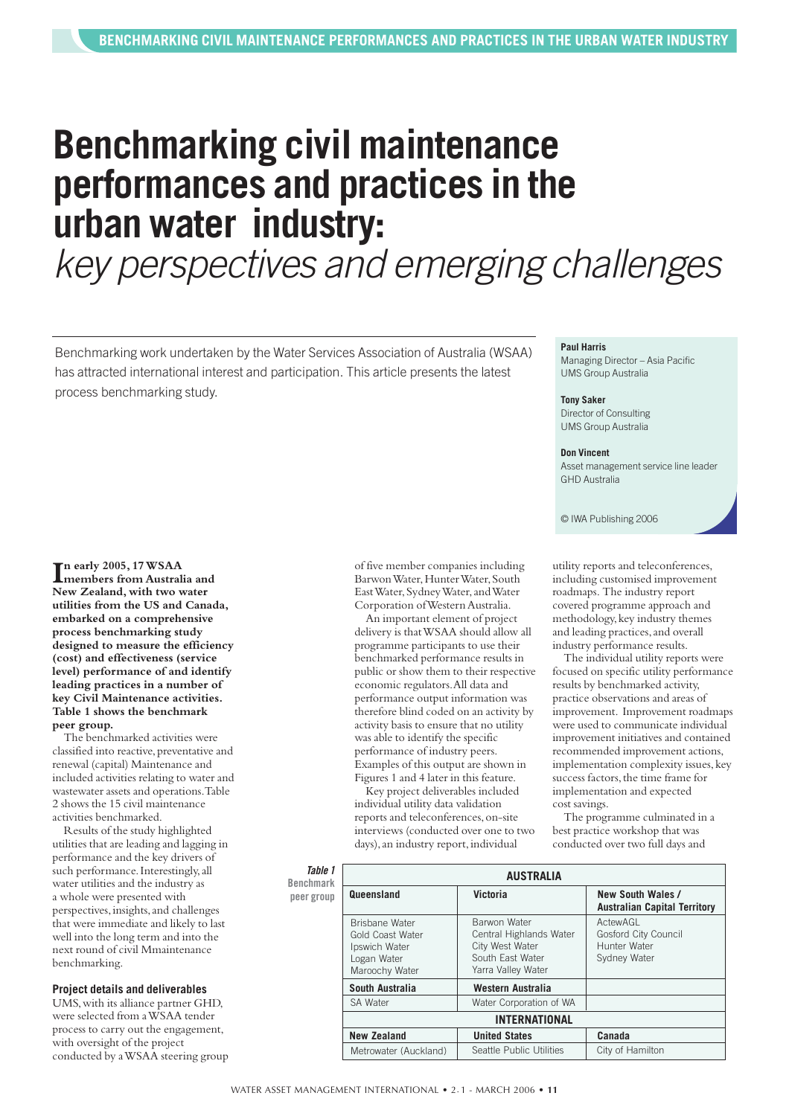# <span id="page-10-0"></span>**Benchmarking civil maintenance performances and practices in the urban water industry:**

*key perspectives and emerging challenges*

Benchmarking work undertaken by the Water Services Association of Australia (WSAA) has attracted international interest and participation. This article presents the latest process benchmarking study.

#### **I n early 2005, 17 WSAA members from Australia and New Zealand,with two water utilities from the US and Canada, embarked on a comprehensive process benchmarking study designed to measure the efficiency (cost) and effectiveness (service level) performance of and identify leading practices in a number of key Civil Maintenance activities. Table 1 shows the benchmark peer group.**

The benchmarked activities were classified into reactive, preventative and renewal (capital) Maintenance and included activities relating to water and wastewater assets and operations.Table 2 shows the 15 civil maintenance activities benchmarked.

Results of the study highlighted utilities that are leading and lagging in performance and the key drivers of such performance.Interestingly,all water utilities and the industry as a whole were presented with perspectives, insights, and challenges that were immediate and likely to last well into the long term and into the next round of civil Mmaintenance benchmarking.

#### **Project details and deliverables**

UMS, with its alliance partner GHD, were selected from a WSAA tender process to carry out the engagement, with oversight of the project conducted by a WSAA steering group of five member companies including Barwon Water, Hunter Water, South East Water, Sydney Water, and Water Corporation of Western Australia.

An important element of project delivery is that WSAA should allow all programme participants to use their benchmarked performance results in public or show them to their respective economic regulators.All data and performance output information was therefore blind coded on an activity by activity basis to ensure that no utility was able to identify the specific performance of industry peers. Examples of this output are shown in Figures 1 and 4 later in this feature.

Key project deliverables included individual utility data validation reports and teleconferences,on-site interviews (conducted over one to two days), an industry report, individual

#### **Paul Harris**

Managing Director – Asia Pacific UMS Group Australia

**Tony Saker** Director of Consulting UMS Group Australia

#### **Don Vincent**

Asset management service line leader GHD Australia

© IWA Publishing 2006

utility reports and teleconferences, including customised improvement roadmaps. The industry report covered programme approach and methodology, key industry themes and leading practices,and overall industry performance results.

The individual utility reports were focused on specific utility performance results by benchmarked activity, practice observations and areas of improvement. Improvement roadmaps were used to communicate individual improvement initiatives and contained recommended improvement actions, implementation complexity issues, key success factors, the time frame for implementation and expected cost savings.

The programme culminated in a best practice workshop that was conducted over two full days and

#### *Table 1* **Benchmark**

| Table 1<br>Benchmark<br>peer group | <b>AUSTRALIA</b>                                                                                   |                                                                                                      |                                                                  |  |  |
|------------------------------------|----------------------------------------------------------------------------------------------------|------------------------------------------------------------------------------------------------------|------------------------------------------------------------------|--|--|
|                                    | Queensland                                                                                         | Victoria                                                                                             | New South Wales /<br><b>Australian Capital Territory</b>         |  |  |
|                                    | <b>Brisbane Water</b><br><b>Gold Coast Water</b><br>Ipswich Water<br>Logan Water<br>Maroochy Water | Barwon Water<br>Central Highlands Water<br>City West Water<br>South East Water<br>Yarra Valley Water | ActewAGL<br>Gosford City Council<br>Hunter Water<br>Sydney Water |  |  |
|                                    | South Australia                                                                                    | Western Australia                                                                                    |                                                                  |  |  |
|                                    | <b>SA Water</b>                                                                                    | Water Corporation of WA                                                                              |                                                                  |  |  |
|                                    | <b>INTERNATIONAL</b>                                                                               |                                                                                                      |                                                                  |  |  |
|                                    | <b>New Zealand</b>                                                                                 | <b>United States</b>                                                                                 | Canada                                                           |  |  |
|                                    | Metrowater (Auckland)                                                                              | Seattle Public Utilities                                                                             | City of Hamilton                                                 |  |  |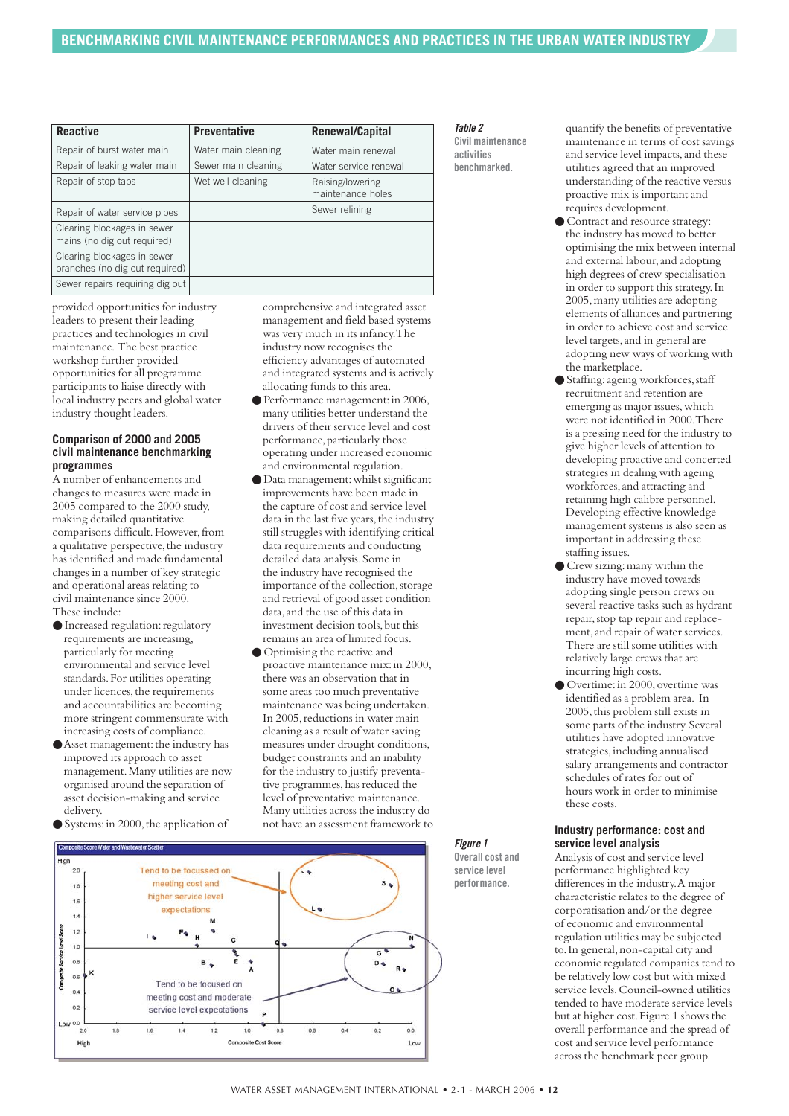| <b>Reactive</b>                                               | <b>Preventative</b> | Renewal/Capital                       |
|---------------------------------------------------------------|---------------------|---------------------------------------|
| Repair of burst water main                                    | Water main cleaning | Water main renewal                    |
| Repair of leaking water main                                  | Sewer main cleaning | Water service renewal                 |
| Repair of stop taps                                           | Wet well cleaning   | Raising/lowering<br>maintenance holes |
| Repair of water service pipes                                 |                     | Sewer relining                        |
| Clearing blockages in sewer<br>mains (no dig out required)    |                     |                                       |
| Clearing blockages in sewer<br>branches (no dig out required) |                     |                                       |
| Sewer repairs requiring dig out                               |                     |                                       |

*Table 2* **Civil maintenance activities benchmarked.**

quantify the benefits of preventative maintenance in terms of cost savings and service level impacts,and these utilities agreed that an improved understanding of the reactive versus proactive mix is important and requires development.

- Contract and resource strategy: the industry has moved to better optimising the mix between internal and external labour,and adopting high degrees of crew specialisation in order to support this strategy.In 2005,many utilities are adopting elements of alliances and partnering in order to achieve cost and service level targets, and in general are adopting new ways of working with the marketplace.
- Staffing:ageing workforces,staff recruitment and retention are emerging as major issues, which were not identified in 2000.There is a pressing need for the industry to give higher levels of attention to developing proactive and concerted strategies in dealing with ageing workforces,and attracting and retaining high calibre personnel. Developing effective knowledge management systems is also seen as important in addressing these staffing issues.
- Crew sizing: many within the industry have moved towards adopting single person crews on several reactive tasks such as hydrant repair,stop tap repair and replacement,and repair of water services. There are still some utilities with relatively large crews that are incurring high costs.
- Overtime: in 2000, overtime was identified as a problem area. In 2005,this problem still exists in some parts of the industry.Several utilities have adopted innovative strategies,including annualised salary arrangements and contractor schedules of rates for out of hours work in order to minimise these costs.

#### **Industry performance: cost and service level analysis**

Analysis of cost and service level performance highlighted key differences in the industry.A major characteristic relates to the degree of corporatisation and/or the degree of economic and environmental regulation utilities may be subjected to.In general,non-capital city and economic regulated companies tend to be relatively low cost but with mixed service levels.Council-owned utilities tended to have moderate service levels but at higher cost.Figure 1 shows the overall performance and the spread of cost and service level performance across the benchmark peer group.

provided opportunities for industry leaders to present their leading practices and technologies in civil maintenance. The best practice workshop further provided opportunities for all programme participants to liaise directly with local industry peers and global water industry thought leaders.

#### **Comparison of 2000 and 2005 civil maintenance benchmarking programmes**

A number of enhancements and changes to measures were made in 2005 compared to the 2000 study, making detailed quantitative comparisons difficult.However,from a qualitative perspective, the industry has identified and made fundamental changes in a number of key strategic and operational areas relating to civil maintenance since 2000. These include:

- Increased regulation:regulatory requirements are increasing, particularly for meeting environmental and service level standards.For utilities operating under licences, the requirements and accountabilities are becoming more stringent commensurate with increasing costs of compliance.
- $\bullet$  Asset management: the industry has improved its approach to asset management.Many utilities are now organised around the separation of asset decision-making and service delivery.
- Systems: in 2000, the application of

#### comprehensive and integrated asset management and field based systems was very much in its infancy.The industry now recognises the efficiency advantages of automated and integrated systems and is actively allocating funds to this area.

- Performance management: in 2006, many utilities better understand the drivers of their service level and cost performance, particularly those operating under increased economic and environmental regulation.
- Data management:whilst significant improvements have been made in the capture of cost and service level data in the last five years, the industry still struggles with identifying critical data requirements and conducting detailed data analysis.Some in the industry have recognised the importance of the collection, storage and retrieval of good asset condition data,and the use of this data in investment decision tools, but this remains an area of limited focus.
- Optimising the reactive and proactive maintenance mix: in 2000, there was an observation that in some areas too much preventative maintenance was being undertaken. In 2005, reductions in water main cleaning as a result of water saving measures under drought conditions, budget constraints and an inability for the industry to justify preventative programmes, has reduced the level of preventative maintenance. Many utilities across the industry do not have an assessment framework to

#### *Figure 1* **Overall cost and service level**

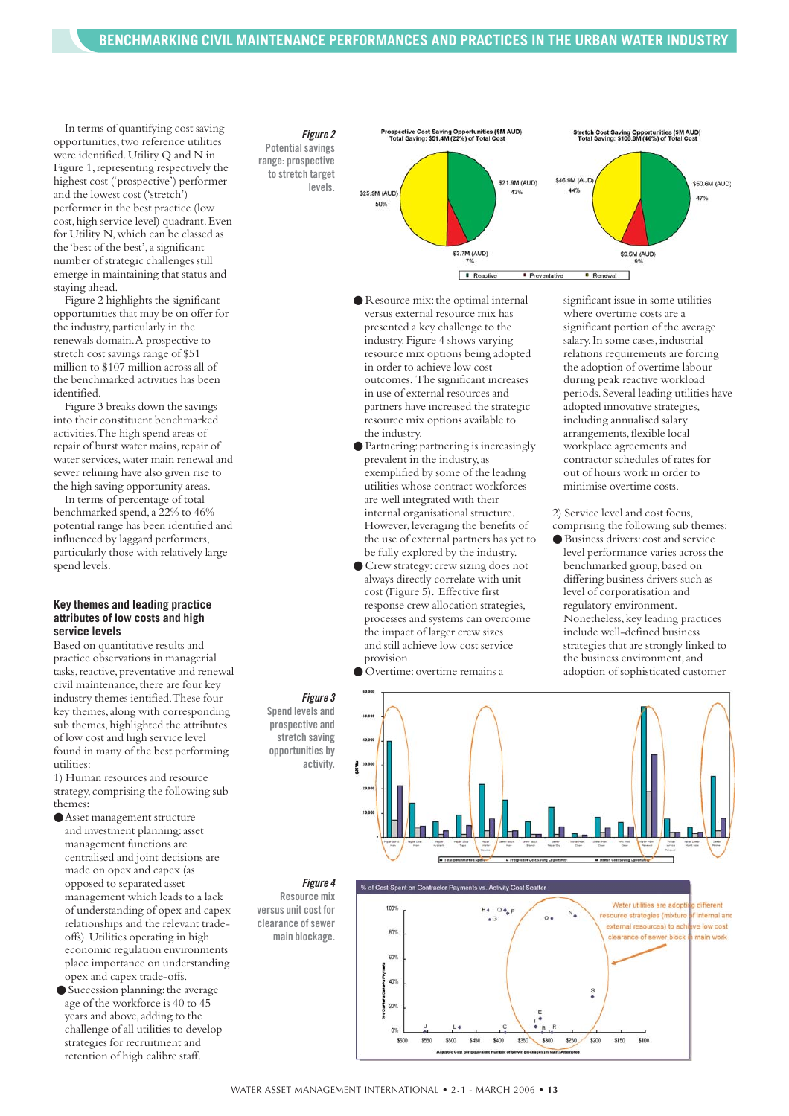In terms of quantifying cost saving opportunities,two reference utilities were identified.Utility Q and N in Figure 1,representing respectively the highest cost ('prospective') performer and the lowest cost ('stretch') performer in the best practice (low cost,high service level) quadrant.Even for Utility N, which can be classed as the 'best of the best',a significant number of strategic challenges still emerge in maintaining that status and staying ahead.

Figure 2 highlights the significant opportunities that may be on offer for the industry, particularly in the renewals domain.A prospective to stretch cost savings range of \$51 million to \$107 million across all of the benchmarked activities has been identified.

Figure 3 breaks down the savings into their constituent benchmarked activities.The high spend areas of repair of burst water mains,repair of water services, water main renewal and sewer relining have also given rise to the high saving opportunity areas.

In terms of percentage of total benchmarked spend,a 22% to 46% potential range has been identified and influenced by laggard performers, particularly those with relatively large spend levels.

#### **Key themes and leading practice attributes of low costs and high service levels**

Based on quantitative results and practice observations in managerial tasks, reactive, preventative and renewal civil maintenance, there are four key industry themes ientified.These four key themes, along with corresponding sub themes, highlighted the attributes of low cost and high service level found in many of the best performing utilities:

1) Human resources and resource strategy,comprising the following sub themes:

- ●Asset management structure and investment planning: asset management functions are centralised and joint decisions are made on opex and capex (as opposed to separated asset management which leads to a lack of understanding of opex and capex relationships and the relevant tradeoffs).Utilities operating in high economic regulation environments place importance on understanding opex and capex trade-offs.
- Succession planning: the average age of the workforce is 40 to 45 years and above, adding to the challenge of all utilities to develop strategies for recruitment and retention of high calibre staff.





- Resource mix:the optimal internal versus external resource mix has presented a key challenge to the industry.Figure 4 shows varying resource mix options being adopted in order to achieve low cost outcomes. The significant increases in use of external resources and partners have increased the strategic resource mix options available to the industry.
- Partnering: partnering is increasingly prevalent in the industry,as exemplified by some of the leading utilities whose contract workforces are well integrated with their internal organisational structure. However, leveraging the benefits of the use of external partners has yet to be fully explored by the industry.
- Crew strategy: crew sizing does not always directly correlate with unit cost (Figure 5). Effective first response crew allocation strategies, processes and systems can overcome the impact of larger crew sizes and still achieve low cost service provision.
- Overtime:overtime remains a

significant issue in some utilities where overtime costs are a significant portion of the average salary. In some cases, industrial relations requirements are forcing the adoption of overtime labour during peak reactive workload periods.Several leading utilities have adopted innovative strategies, including annualised salary arrangements, flexible local workplace agreements and contractor schedules of rates for out of hours work in order to minimise overtime costs.

2) Service level and cost focus, comprising the following sub themes: ● Business drivers:cost and service level performance varies across the benchmarked group, based on differing business drivers such as level of corporatisation and regulatory environment. Nonetheless,key leading practices include well-defined business strategies that are strongly linked to the business environment,and

*Figure 3* **Spend levels and prospective and stretch saving opportunities by**

**activity.**

*Figure 4* **Resource mix versus unit cost for clearance of sewer main blockage.**

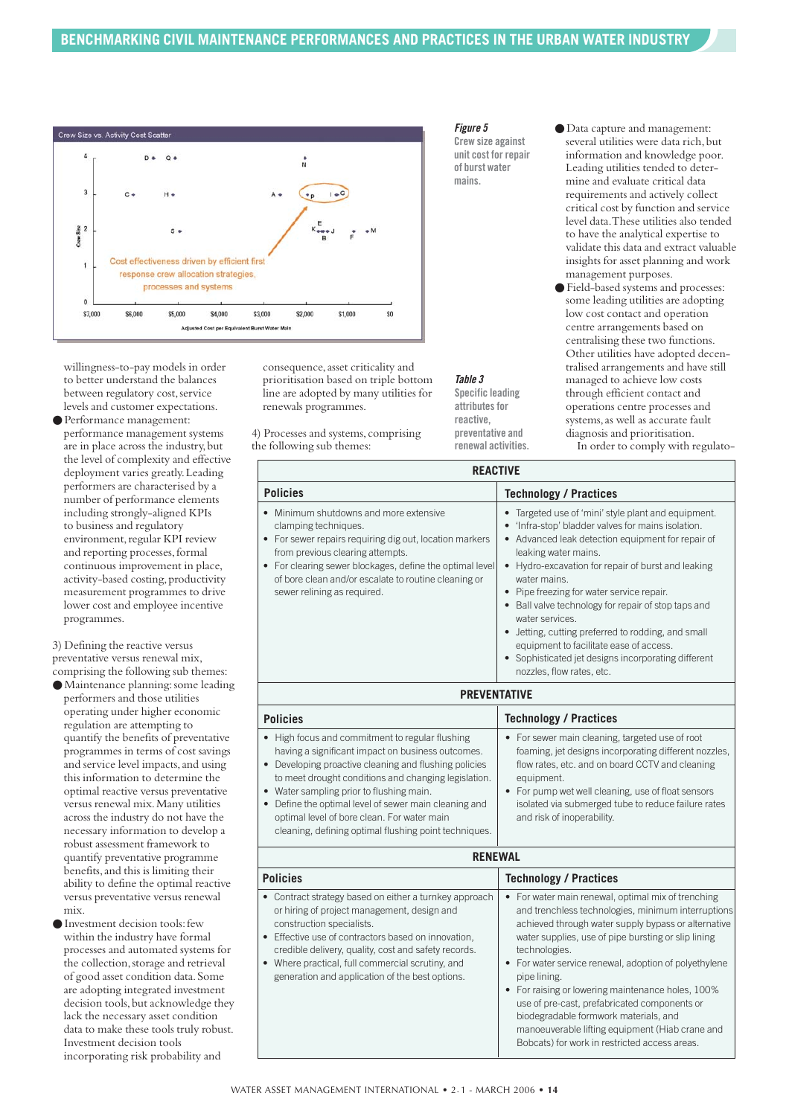

willingness-to-pay models in order to better understand the balances between regulatory cost, service levels and customer expectations.

● Performance management: performance management systems are in place across the industry, but the level of complexity and effective deployment varies greatly.Leading performers are characterised by a number of performance elements including strongly-aligned KPIs to business and regulatory environment, regular KPI review and reporting processes,formal continuous improvement in place, activity-based costing, productivity measurement programmes to drive lower cost and employee incentive programmes.

3) Defining the reactive versus preventative versus renewal mix, comprising the following sub themes:

● Maintenance planning:some leading performers and those utilities operating under higher economic regulation are attempting to quantify the benefits of preventative programmes in terms of cost savings and service level impacts,and using this information to determine the optimal reactive versus preventative versus renewal mix.Many utilities across the industry do not have the necessary information to develop a robust assessment framework to quantify preventative programme benefits,and this is limiting their ability to define the optimal reactive versus preventative versus renewal mix.

● Investment decision tools:few within the industry have formal processes and automated systems for the collection, storage and retrieval of good asset condition data.Some are adopting integrated investment decision tools, but acknowledge they lack the necessary asset condition data to make these tools truly robust. Investment decision tools incorporating risk probability and

consequence, asset criticality and prioritisation based on triple bottom line are adopted by many utilities for renewals programmes.

4) Processes and systems,comprising the following sub themes:

#### *Figure 5*

**Crew size against unit cost for repair of burst water mains.**

- Data capture and management: several utilities were data rich, but information and knowledge poor. Leading utilities tended to determine and evaluate critical data requirements and actively collect critical cost by function and service level data.These utilities also tended to have the analytical expertise to validate this data and extract valuable insights for asset planning and work management purposes.
- Field-based systems and processes: some leading utilities are adopting low cost contact and operation centre arrangements based on centralising these two functions. Other utilities have adopted decentralised arrangements and have still managed to achieve low costs through efficient contact and operations centre processes and systems,as well as accurate fault diagnosis and prioritisation. In order to comply with regulato-

| 1167477                                                                                                                                                                                                                                                                                                                                                                                                                            |                                                                                                                                                                                                                                                                                                                                                                                                                                                                                                                                                                                                                                     |  |  |  |  |
|------------------------------------------------------------------------------------------------------------------------------------------------------------------------------------------------------------------------------------------------------------------------------------------------------------------------------------------------------------------------------------------------------------------------------------|-------------------------------------------------------------------------------------------------------------------------------------------------------------------------------------------------------------------------------------------------------------------------------------------------------------------------------------------------------------------------------------------------------------------------------------------------------------------------------------------------------------------------------------------------------------------------------------------------------------------------------------|--|--|--|--|
| <b>Policies</b>                                                                                                                                                                                                                                                                                                                                                                                                                    | <b>Technology / Practices</b>                                                                                                                                                                                                                                                                                                                                                                                                                                                                                                                                                                                                       |  |  |  |  |
| Minimum shutdowns and more extensive<br>clamping techniques.<br>• For sewer repairs requiring dig out, location markers<br>from previous clearing attempts.<br>• For clearing sewer blockages, define the optimal level<br>of bore clean and/or escalate to routine cleaning or<br>sewer relining as required.                                                                                                                     | Targeted use of 'mini' style plant and equipment.<br>٠<br>'Infra-stop' bladder valves for mains isolation.<br>Advanced leak detection equipment for repair of<br>٠<br>leaking water mains.<br>Hydro-excavation for repair of burst and leaking<br>$\bullet$<br>water mains.<br>Pipe freezing for water service repair.<br>$\bullet$<br>Ball valve technology for repair of stop taps and<br>$\bullet$<br>water services.<br>Jetting, cutting preferred to rodding, and small<br>$\bullet$<br>equipment to facilitate ease of access.<br>Sophisticated jet designs incorporating different<br>$\bullet$<br>nozzles, flow rates, etc. |  |  |  |  |
| <b>PREVENTATIVE</b>                                                                                                                                                                                                                                                                                                                                                                                                                |                                                                                                                                                                                                                                                                                                                                                                                                                                                                                                                                                                                                                                     |  |  |  |  |
| <b>Policies</b>                                                                                                                                                                                                                                                                                                                                                                                                                    | <b>Technology / Practices</b>                                                                                                                                                                                                                                                                                                                                                                                                                                                                                                                                                                                                       |  |  |  |  |
| • High focus and commitment to regular flushing<br>having a significant impact on business outcomes.<br>• Developing proactive cleaning and flushing policies<br>to meet drought conditions and changing legislation.<br>• Water sampling prior to flushing main.<br>• Define the optimal level of sewer main cleaning and<br>optimal level of bore clean. For water main<br>cleaning, defining optimal flushing point techniques. | For sewer main cleaning, targeted use of root<br>foaming, jet designs incorporating different nozzles,<br>flow rates, etc. and on board CCTV and cleaning<br>equipment.<br>For pump wet well cleaning, use of float sensors<br>isolated via submerged tube to reduce failure rates<br>and risk of inoperability.                                                                                                                                                                                                                                                                                                                    |  |  |  |  |
| <b>RENEWAL</b>                                                                                                                                                                                                                                                                                                                                                                                                                     |                                                                                                                                                                                                                                                                                                                                                                                                                                                                                                                                                                                                                                     |  |  |  |  |
| <b>Policies</b>                                                                                                                                                                                                                                                                                                                                                                                                                    | <b>Technology / Practices</b>                                                                                                                                                                                                                                                                                                                                                                                                                                                                                                                                                                                                       |  |  |  |  |
| a continuous de continuario de la característica de la característica de la característica de la característic                                                                                                                                                                                                                                                                                                                     | Formal consists and consistent control to the officer of the set                                                                                                                                                                                                                                                                                                                                                                                                                                                                                                                                                                    |  |  |  |  |

|                                                                                                                                                                                                                                                                                                                                                    | $19911191951$ ,                                                                                                                                                                                                                                                                                                                                                                                                                                                                                                                                                    |
|----------------------------------------------------------------------------------------------------------------------------------------------------------------------------------------------------------------------------------------------------------------------------------------------------------------------------------------------------|--------------------------------------------------------------------------------------------------------------------------------------------------------------------------------------------------------------------------------------------------------------------------------------------------------------------------------------------------------------------------------------------------------------------------------------------------------------------------------------------------------------------------------------------------------------------|
| Contract strategy based on either a turnkey approach<br>or hiring of project management, design and<br>construction specialists.<br>Effective use of contractors based on innovation,<br>credible delivery, quality, cost and safety records.<br>Where practical, full commercial scrutiny, and<br>generation and application of the best options. | • For water main renewal, optimal mix of trenching<br>and trenchless technologies, minimum interruptions<br>achieved through water supply bypass or alternative<br>water supplies, use of pipe bursting or slip lining<br>technologies.<br>• For water service renewal, adoption of polyethylene<br>pipe lining.<br>• For raising or lowering maintenance holes, 100%<br>use of pre-cast, prefabricated components or<br>biodegradable formwork materials, and<br>manoeuverable lifting equipment (Hiab crane and<br>Bobcats) for work in restricted access areas. |

### *Table 3*

**Specific leading attributes for reactive, preventative and renewal activities.**

**REACTIVE**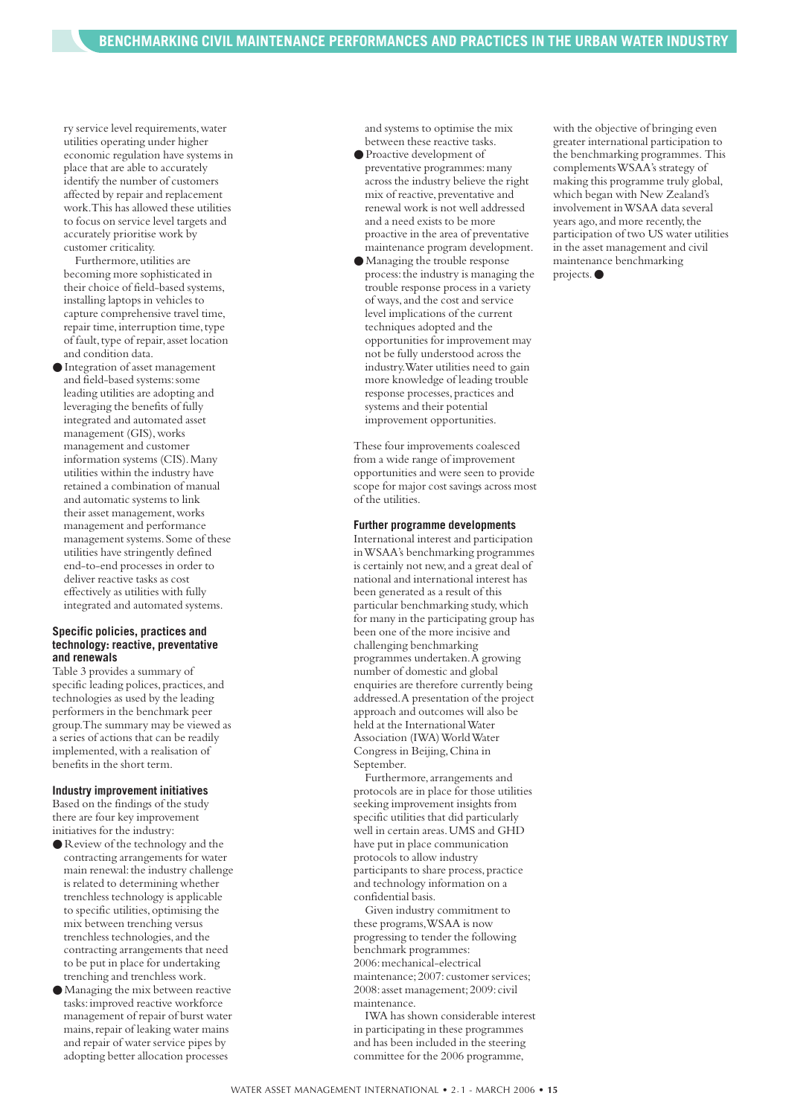ry service level requirements, water utilities operating under higher economic regulation have systems in place that are able to accurately identify the number of customers affected by repair and replacement work.This has allowed these utilities to focus on service level targets and accurately prioritise work by customer criticality.

Furthermore, utilities are becoming more sophisticated in their choice of field-based systems, installing laptops in vehicles to capture comprehensive travel time, repair time, interruption time, type of fault, type of repair, asset location and condition data.

● Integration of asset management and field-based systems:some leading utilities are adopting and leveraging the benefits of fully integrated and automated asset management (GIS),works management and customer information systems (CIS).Many utilities within the industry have retained a combination of manual and automatic systems to link their asset management,works management and performance management systems.Some of these utilities have stringently defined end-to-end processes in order to deliver reactive tasks as cost effectively as utilities with fully integrated and automated systems.

#### **Specific policies, practices and technology: reactive, preventative and renewals**

Table 3 provides a summary of specific leading polices, practices, and technologies as used by the leading performers in the benchmark peer group.The summary may be viewed as a series of actions that can be readily implemented,with a realisation of benefits in the short term.

#### **Industry improvement initiatives**

Based on the findings of the study there are four key improvement initiatives for the industry:

- Review of the technology and the contracting arrangements for water main renewal: the industry challenge is related to determining whether trenchless technology is applicable to specific utilities,optimising the mix between trenching versus trenchless technologies,and the contracting arrangements that need to be put in place for undertaking trenching and trenchless work.
- Managing the mix between reactive tasks:improved reactive workforce management of repair of burst water mains, repair of leaking water mains and repair of water service pipes by adopting better allocation processes

and systems to optimise the mix between these reactive tasks.

- Proactive development of preventative programmes:many across the industry believe the right mix of reactive, preventative and renewal work is not well addressed and a need exists to be more proactive in the area of preventative maintenance program development.
- Managing the trouble response process:the industry is managing the trouble response process in a variety of ways,and the cost and service level implications of the current techniques adopted and the opportunities for improvement may not be fully understood across the industry.Water utilities need to gain more knowledge of leading trouble response processes,practices and systems and their potential improvement opportunities.

These four improvements coalesced from a wide range of improvement opportunities and were seen to provide scope for major cost savings across most of the utilities.

#### **Further programme developments**

International interest and participation in WSAA's benchmarking programmes is certainly not new,and a great deal of national and international interest has been generated as a result of this particular benchmarking study, which for many in the participating group has been one of the more incisive and challenging benchmarking programmes undertaken.A growing number of domestic and global enquiries are therefore currently being addressed.A presentation of the project approach and outcomes will also be held at the International Water Association (IWA) World Water Congress in Beijing,China in September.

Furthermore,arrangements and protocols are in place for those utilities seeking improvement insights from specific utilities that did particularly well in certain areas.UMS and GHD have put in place communication protocols to allow industry participants to share process, practice and technology information on a confidential basis.

Given industry commitment to these programs,WSAA is now progressing to tender the following benchmark programmes: 2006:mechanical-electrical maintenance; 2007: customer services; 2008:asset management;2009:civil maintenance.

IWA has shown considerable interest in participating in these programmes and has been included in the steering committee for the 2006 programme,

with the objective of bringing even greater international participation to the benchmarking programmes. This complements WSAA's strategy of making this programme truly global, which began with New Zealand's involvement in WSAA data several years ago, and more recently, the participation of two US water utilities in the asset management and civil maintenance benchmarking projects.●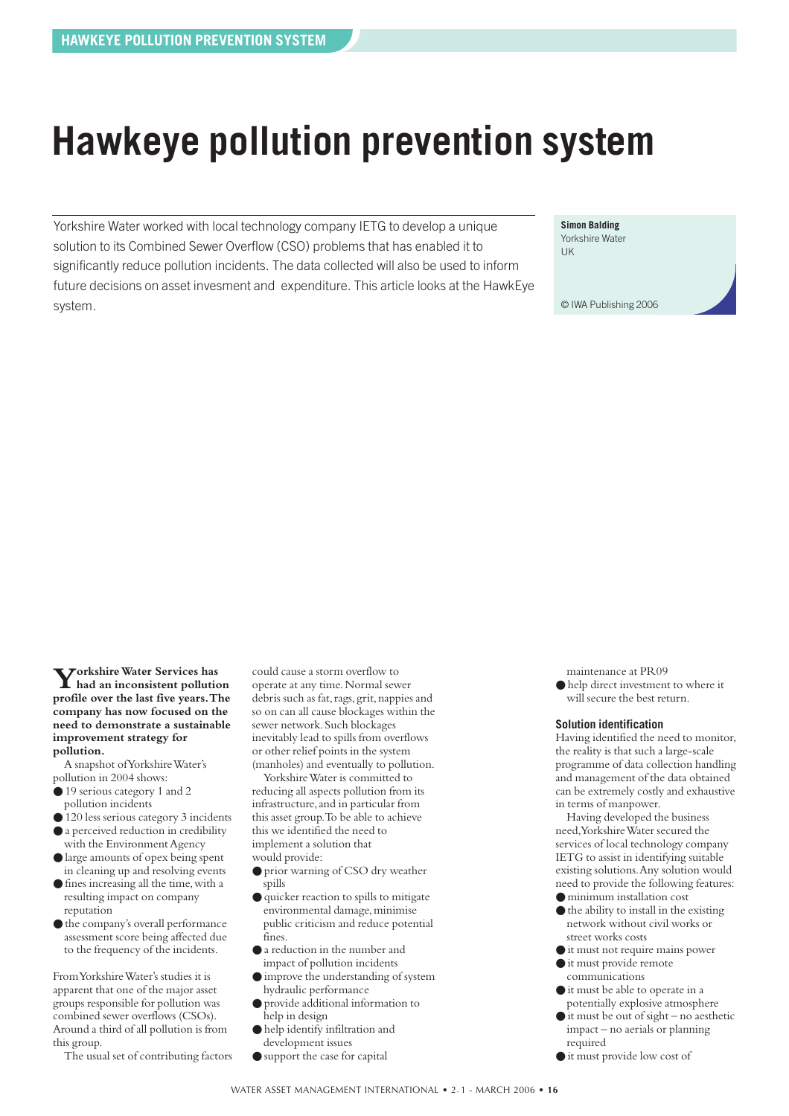# <span id="page-15-0"></span>**Hawkeye pollution prevention system**

Yorkshire Water worked with local technology company IETG to develop a unique solution to its Combined Sewer Overflow (CSO) problems that has enabled it to significantly reduce pollution incidents. The data collected will also be used to inform future decisions on asset invesment and expenditure. This article looks at the HawkEye system.

**Simon Balding**

Yorkshire Water UK

© IWA Publishing 2006

**Yorkshire Water Services has had an inconsistent pollution profile over the last five years.The company has now focused on the need to demonstrate a sustainable improvement strategy for pollution.**

A snapshot of Yorkshire Water's pollution in 2004 shows:

- 19 serious category 1 and 2 pollution incidents
- 120 less serious category 3 incidents
- a perceived reduction in credibility with the Environment Agency
- large amounts of opex being spent in cleaning up and resolving events
- fines increasing all the time,with a resulting impact on company reputation
- $\bullet$  the company's overall performance assessment score being affected due to the frequency of the incidents.

From Yorkshire Water's studies it is apparent that one of the major asset groups responsible for pollution was combined sewer overflows (CSOs). Around a third of all pollution is from this group.

The usual set of contributing factors

could cause a storm overflow to operate at any time.Normal sewer debris such as fat, rags, grit, nappies and so on can all cause blockages within the sewer network.Such blockages inevitably lead to spills from overflows or other relief points in the system (manholes) and eventually to pollution.

Yorkshire Water is committed to reducing all aspects pollution from its infrastructure, and in particular from this asset group.To be able to achieve this we identified the need to implement a solution that would provide:

- prior warning of CSO dry weather spills
- quicker reaction to spills to mitigate environmental damage, minimise public criticism and reduce potential fines.
- a reduction in the number and impact of pollution incidents
- improve the understanding of system hydraulic performance
- provide additional information to help in design
- help identify infiltration and development issues
- support the case for capital

maintenance at PR09

● help direct investment to where it will secure the best return.

#### **Solution identification**

Having identified the need to monitor, the reality is that such a large-scale programme of data collection handling and management of the data obtained can be extremely costly and exhaustive in terms of manpower.

Having developed the business need,Yorkshire Water secured the services of local technology company IETG to assist in identifying suitable existing solutions.Any solution would need to provide the following features:

- minimum installation cost
- $\bullet$  the ability to install in the existing network without civil works or street works costs
- it must not require mains power ● it must provide remote
- communications
- it must be able to operate in a potentially explosive atmosphere
- $\bullet$  it must be out of sight no aesthetic impact – no aerials or planning required
- it must provide low cost of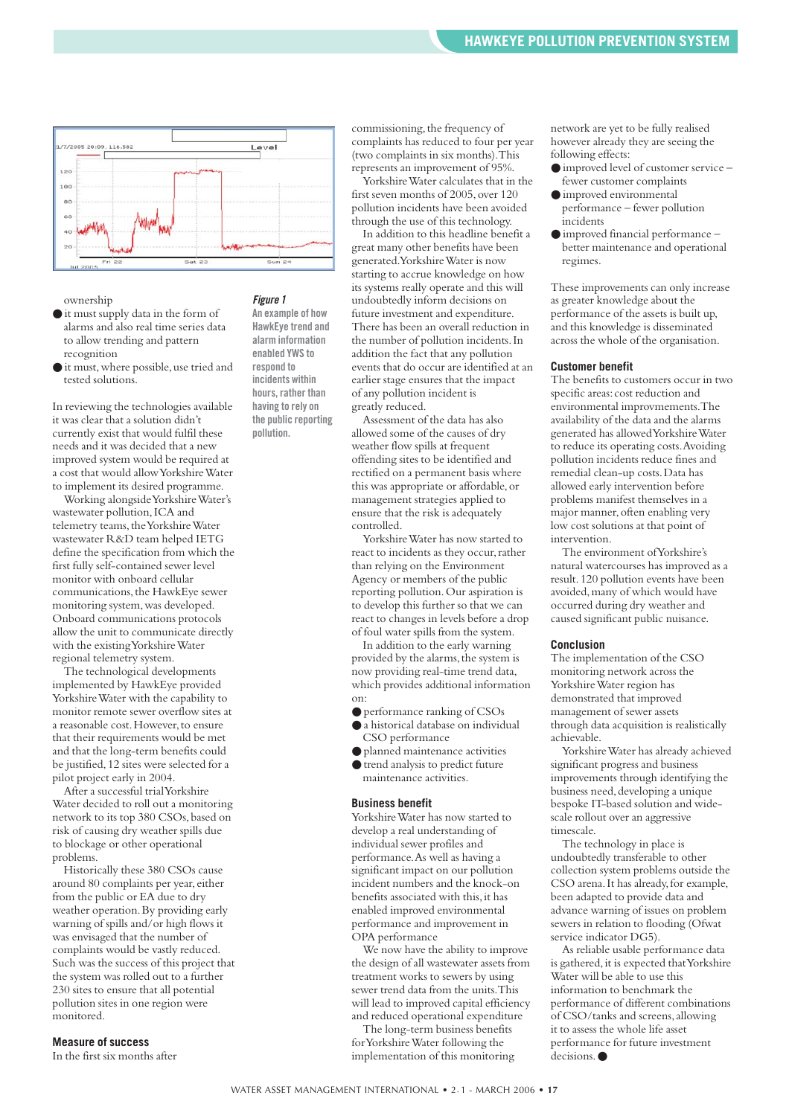

ownership

- it must supply data in the form of alarms and also real time series data to allow trending and pattern recognition
- $\bullet$  it must, where possible, use tried and tested solutions.

In reviewing the technologies available it was clear that a solution didn't currently exist that would fulfil these needs and it was decided that a new improved system would be required at a cost that would allow Yorkshire Water to implement its desired programme.

Working alongside Yorkshire Water's wastewater pollution,ICA and telemetry teams, the Yorkshire Water wastewater R&D team helped IETG define the specification from which the first fully self-contained sewer level monitor with onboard cellular communications,the HawkEye sewer monitoring system,was developed. Onboard communications protocols allow the unit to communicate directly with the existing Yorkshire Water regional telemetry system.

The technological developments implemented by HawkEye provided Yorkshire Water with the capability to monitor remote sewer overflow sites at a reasonable cost. However, to ensure that their requirements would be met and that the long-term benefits could be justified,12 sites were selected for a pilot project early in 2004.

After a successful trial Yorkshire Water decided to roll out a monitoring network to its top 380 CSOs,based on risk of causing dry weather spills due to blockage or other operational problems.

Historically these 380 CSOs cause around 80 complaints per year, either from the public or EA due to dry weather operation.By providing early warning of spills and/or high flows it was envisaged that the number of complaints would be vastly reduced. Such was the success of this project that the system was rolled out to a further 230 sites to ensure that all potential pollution sites in one region were monitored.

#### **Measure of success**

In the first six months after

#### *Figure 1*

**An example of how HawkEye trend and alarm information enabled YWS to respond to incidents within hours, rather than having to rely on the public reporting pollution.**

commissioning, the frequency of complaints has reduced to four per year (two complaints in six months).This represents an improvement of 95%.

Yorkshire Water calculates that in the first seven months of 2005, over 120 pollution incidents have been avoided through the use of this technology.

In addition to this headline benefit a great many other benefits have been generated.Yorkshire Water is now starting to accrue knowledge on how its systems really operate and this will undoubtedly inform decisions on future investment and expenditure. There has been an overall reduction in the number of pollution incidents.In addition the fact that any pollution events that do occur are identified at an earlier stage ensures that the impact of any pollution incident is greatly reduced.

Assessment of the data has also allowed some of the causes of dry weather flow spills at frequent offending sites to be identified and rectified on a permanent basis where this was appropriate or affordable, or management strategies applied to ensure that the risk is adequately controlled.

Yorkshire Water has now started to react to incidents as they occur, rather than relying on the Environment Agency or members of the public reporting pollution.Our aspiration is to develop this further so that we can react to changes in levels before a drop of foul water spills from the system.

In addition to the early warning provided by the alarms, the system is now providing real-time trend data, which provides additional information on:

- performance ranking of CSOs
- a historical database on individual CSO performance
- planned maintenance activities
- trend analysis to predict future maintenance activities.

#### **Business benefit**

Yorkshire Water has now started to develop a real understanding of individual sewer profiles and performance.As well as having a significant impact on our pollution incident numbers and the knock-on benefits associated with this,it has enabled improved environmental performance and improvement in OPA performance

We now have the ability to improve the design of all wastewater assets from treatment works to sewers by using sewer trend data from the units.This will lead to improved capital efficiency and reduced operational expenditure

The long-term business benefits for Yorkshire Water following the implementation of this monitoring network are yet to be fully realised however already they are seeing the following effects:

- $\bullet$  improved level of customer service fewer customer complaints
- improved environmental performance – fewer pollution incidents
- improved financial performance better maintenance and operational regimes.

These improvements can only increase as greater knowledge about the performance of the assets is built up, and this knowledge is disseminated across the whole of the organisation.

#### **Customer benefit**

The benefits to customers occur in two specific areas: cost reduction and environmental improvmements.The availability of the data and the alarms generated has allowed Yorkshire Water to reduce its operating costs.Avoiding pollution incidents reduce fines and remedial clean-up costs.Data has allowed early intervention before problems manifest themselves in a major manner, often enabling very low cost solutions at that point of intervention.

The environment of Yorkshire's natural watercourses has improved as a result.120 pollution events have been avoided,many of which would have occurred during dry weather and caused significant public nuisance.

#### **Conclusion**

The implementation of the CSO monitoring network across the Yorkshire Water region has demonstrated that improved management of sewer assets through data acquisition is realistically achievable.

Yorkshire Water has already achieved significant progress and business improvements through identifying the business need,developing a unique bespoke IT-based solution and widescale rollout over an aggressive timescale.

The technology in place is undoubtedly transferable to other collection system problems outside the CSO arena. It has already, for example, been adapted to provide data and advance warning of issues on problem sewers in relation to flooding (Ofwat service indicator DG5).

As reliable usable performance data is gathered, it is expected that Yorkshire Water will be able to use this information to benchmark the performance of different combinations of CSO/tanks and screens,allowing it to assess the whole life asset performance for future investment decisions ●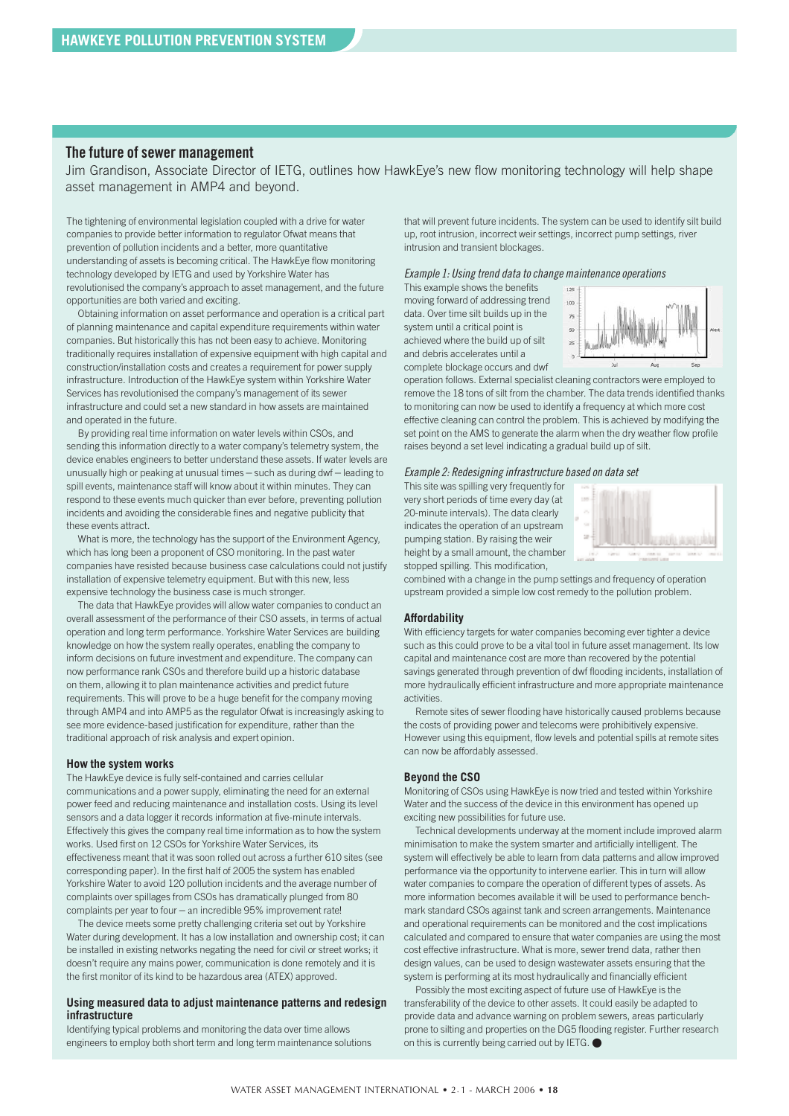#### **The future of sewer management**

Jim Grandison, Associate Director of IETG, outlines how HawkEye's new flow monitoring technology will help shape asset management in AMP4 and beyond.

The tightening of environmental legislation coupled with a drive for water companies to provide better information to regulator Ofwat means that prevention of pollution incidents and a better, more quantitative understanding of assets is becoming critical. The HawkEye flow monitoring technology developed by IETG and used by Yorkshire Water has revolutionised the company's approach to asset management, and the future opportunities are both varied and exciting.

Obtaining information on asset performance and operation is a critical part of planning maintenance and capital expenditure requirements within water companies. But historically this has not been easy to achieve. Monitoring traditionally requires installation of expensive equipment with high capital and construction/installation costs and creates a requirement for power supply infrastructure. Introduction of the HawkEye system within Yorkshire Water Services has revolutionised the company's management of its sewer infrastructure and could set a new standard in how assets are maintained and operated in the future.

By providing real time information on water levels within CSOs, and sending this information directly to a water company's telemetry system, the device enables engineers to better understand these assets. If water levels are unusually high or peaking at unusual times – such as during dwf – leading to spill events, maintenance staff will know about it within minutes. They can respond to these events much quicker than ever before, preventing pollution incidents and avoiding the considerable fines and negative publicity that these events attract.

What is more, the technology has the support of the Environment Agency, which has long been a proponent of CSO monitoring. In the past water companies have resisted because business case calculations could not justify installation of expensive telemetry equipment. But with this new, less expensive technology the business case is much stronger.

The data that HawkEye provides will allow water companies to conduct an overall assessment of the performance of their CSO assets, in terms of actual operation and long term performance. Yorkshire Water Services are building knowledge on how the system really operates, enabling the company to inform decisions on future investment and expenditure. The company can now performance rank CSOs and therefore build up a historic database on them, allowing it to plan maintenance activities and predict future requirements. This will prove to be a huge benefit for the company moving through AMP4 and into AMP5 as the regulator Ofwat is increasingly asking to see more evidence-based justification for expenditure, rather than the traditional approach of risk analysis and expert opinion.

#### **How the system works**

The HawkEye device is fully self-contained and carries cellular communications and a power supply, eliminating the need for an external power feed and reducing maintenance and installation costs. Using its level sensors and a data logger it records information at five-minute intervals. Effectively this gives the company real time information as to how the system works. Used first on 12 CSOs for Yorkshire Water Services, its effectiveness meant that it was soon rolled out across a further 610 sites (see corresponding paper). In the first half of 2005 the system has enabled Yorkshire Water to avoid 120 pollution incidents and the average number of complaints over spillages from CSOs has dramatically plunged from 80 complaints per year to four – an incredible 95% improvement rate!

The device meets some pretty challenging criteria set out by Yorkshire Water during development. It has a low installation and ownership cost; it can be installed in existing networks negating the need for civil or street works; it doesn't require any mains power, communication is done remotely and it is the first monitor of its kind to be hazardous area (ATEX) approved.

#### **Using measured data to adjust maintenance patterns and redesign infrastructure**

Identifying typical problems and monitoring the data over time allows engineers to employ both short term and long term maintenance solutions that will prevent future incidents. The system can be used to identify silt build up, root intrusion, incorrect weir settings, incorrect pump settings, river intrusion and transient blockages.

#### *Example 1: Using trend data to change maintenance operations*

This example shows the benefits moving forward of addressing trend data. Over time silt builds up in the system until a critical point is achieved where the build up of silt and debris accelerates until a complete blockage occurs and dwf



operation follows. External specialist cleaning contractors were employed to remove the 18 tons of silt from the chamber. The data trends identified thanks to monitoring can now be used to identify a frequency at which more cost effective cleaning can control the problem. This is achieved by modifying the set point on the AMS to generate the alarm when the dry weather flow profile raises beyond a set level indicating a gradual build up of silt.

#### *Example 2: Redesigning infrastructure based on data set*

This site was spilling very frequently for very short periods of time every day (at 20-minute intervals). The data clearly indicates the operation of an upstream pumping station. By raising the weir height by a small amount, the chamber stopped spilling. This modification,



combined with a change in the pump settings and frequency of operation upstream provided a simple low cost remedy to the pollution problem.

#### **Affordability**

With efficiency targets for water companies becoming ever tighter a device such as this could prove to be a vital tool in future asset management. Its low capital and maintenance cost are more than recovered by the potential savings generated through prevention of dwf flooding incidents, installation of more hydraulically efficient infrastructure and more appropriate maintenance activities.

Remote sites of sewer flooding have historically caused problems because the costs of providing power and telecoms were prohibitively expensive. However using this equipment, flow levels and potential spills at remote sites can now be affordably assessed.

#### **Beyond the CSO**

Monitoring of CSOs using HawkEye is now tried and tested within Yorkshire Water and the success of the device in this environment has opened up exciting new possibilities for future use.

Technical developments underway at the moment include improved alarm minimisation to make the system smarter and artificially intelligent. The system will effectively be able to learn from data patterns and allow improved performance via the opportunity to intervene earlier. This in turn will allow water companies to compare the operation of different types of assets. As more information becomes available it will be used to performance benchmark standard CSOs against tank and screen arrangements. Maintenance and operational requirements can be monitored and the cost implications calculated and compared to ensure that water companies are using the most cost effective infrastructure. What is more, sewer trend data, rather then design values, can be used to design wastewater assets ensuring that the system is performing at its most hydraulically and financially efficient

Possibly the most exciting aspect of future use of HawkEye is the transferability of the device to other assets. It could easily be adapted to provide data and advance warning on problem sewers, areas particularly prone to silting and properties on the DG5 flooding register. Further research on this is currently being carried out by IETG. ●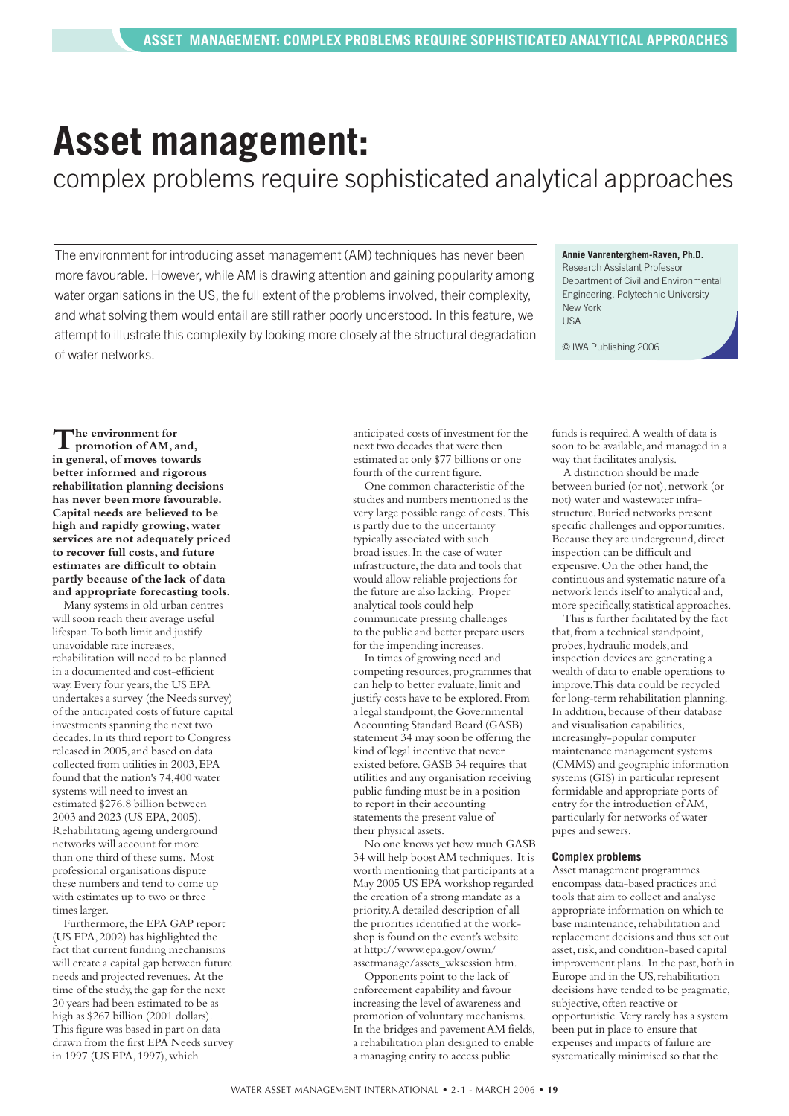# <span id="page-18-0"></span>**Asset management:**

complex problems require sophisticated analytical approaches

The environment for introducing asset management (AM) techniques has never been more favourable. However, while AM is drawing attention and gaining popularity among water organisations in the US, the full extent of the problems involved, their complexity, and what solving them would entail are still rather poorly understood. In this feature, we attempt to illustrate this complexity by looking more closely at the structural degradation of water networks.

#### **Annie Vanrenterghem-Raven, Ph.D.**

Research Assistant Professor Department of Civil and Environmental Engineering, Polytechnic University New York  $IISA$ 

© IWA Publishing 2006

**The environment for promotion of AM, and, in general,of moves towards better informed and rigorous rehabilitation planning decisions has never been more favourable. Capital needs are believed to be high and rapidly growing,water services are not adequately priced to recover full costs,and future estimates are difficult to obtain partly because of the lack of data and appropriate forecasting tools.**

Many systems in old urban centres will soon reach their average useful lifespan.To both limit and justify unavoidable rate increases, rehabilitation will need to be planned in a documented and cost-efficient way. Every four years, the US EPA undertakes a survey (the Needs survey) of the anticipated costs of future capital investments spanning the next two decades.In its third report to Congress released in 2005, and based on data collected from utilities in 2003,EPA found that the nation's 74,400 water systems will need to invest an estimated \$276.8 billion between 2003 and 2023 (US EPA,2005). Rehabilitating ageing underground networks will account for more than one third of these sums. Most professional organisations dispute these numbers and tend to come up with estimates up to two or three times larger.

Furthermore, the EPA GAP report (US EPA,2002) has highlighted the fact that current funding mechanisms will create a capital gap between future needs and projected revenues. At the time of the study, the gap for the next 20 years had been estimated to be as high as \$267 billion (2001 dollars). This figure was based in part on data drawn from the first EPA Needs survey in 1997 (US EPA, 1997), which

anticipated costs of investment for the next two decades that were then estimated at only \$77 billions or one fourth of the current figure.

One common characteristic of the studies and numbers mentioned is the very large possible range of costs. This is partly due to the uncertainty typically associated with such broad issues.In the case of water infrastructure, the data and tools that would allow reliable projections for the future are also lacking. Proper analytical tools could help communicate pressing challenges to the public and better prepare users for the impending increases.

In times of growing need and competing resources,programmes that can help to better evaluate,limit and justify costs have to be explored.From a legal standpoint, the Governmental Accounting Standard Board (GASB) statement 34 may soon be offering the kind of legal incentive that never existed before.GASB 34 requires that utilities and any organisation receiving public funding must be in a position to report in their accounting statements the present value of their physical assets.

No one knows yet how much GASB 34 will help boost AM techniques. It is worth mentioning that participants at a May 2005 US EPA workshop regarded the creation of a strong mandate as a priority.A detailed description of all the priorities identified at the workshop is found on the event's website at http://www.epa.gov/owm/ assetmanage/assets\_wksession.htm.

Opponents point to the lack of enforcement capability and favour increasing the level of awareness and promotion of voluntary mechanisms. In the bridges and pavement AM fields, a rehabilitation plan designed to enable a managing entity to access public

funds is required.A wealth of data is soon to be available, and managed in a way that facilitates analysis.

A distinction should be made between buried (or not), network (or not) water and wastewater infrastructure. Buried networks present specific challenges and opportunities. Because they are underground, direct inspection can be difficult and expensive. On the other hand, the continuous and systematic nature of a network lends itself to analytical and, more specifically, statistical approaches.

This is further facilitated by the fact that, from a technical standpoint, probes,hydraulic models,and inspection devices are generating a wealth of data to enable operations to improve.This data could be recycled for long-term rehabilitation planning. In addition, because of their database and visualisation capabilities, increasingly-popular computer maintenance management systems (CMMS) and geographic information systems (GIS) in particular represent formidable and appropriate ports of entry for the introduction of AM, particularly for networks of water pipes and sewers.

#### **Complex problems**

Asset management programmes encompass data-based practices and tools that aim to collect and analyse appropriate information on which to base maintenance, rehabilitation and replacement decisions and thus set out asset, risk, and condition-based capital improvement plans. In the past, both in Europe and in the US,rehabilitation decisions have tended to be pragmatic, subjective, often reactive or opportunistic. Very rarely has a system been put in place to ensure that expenses and impacts of failure are systematically minimised so that the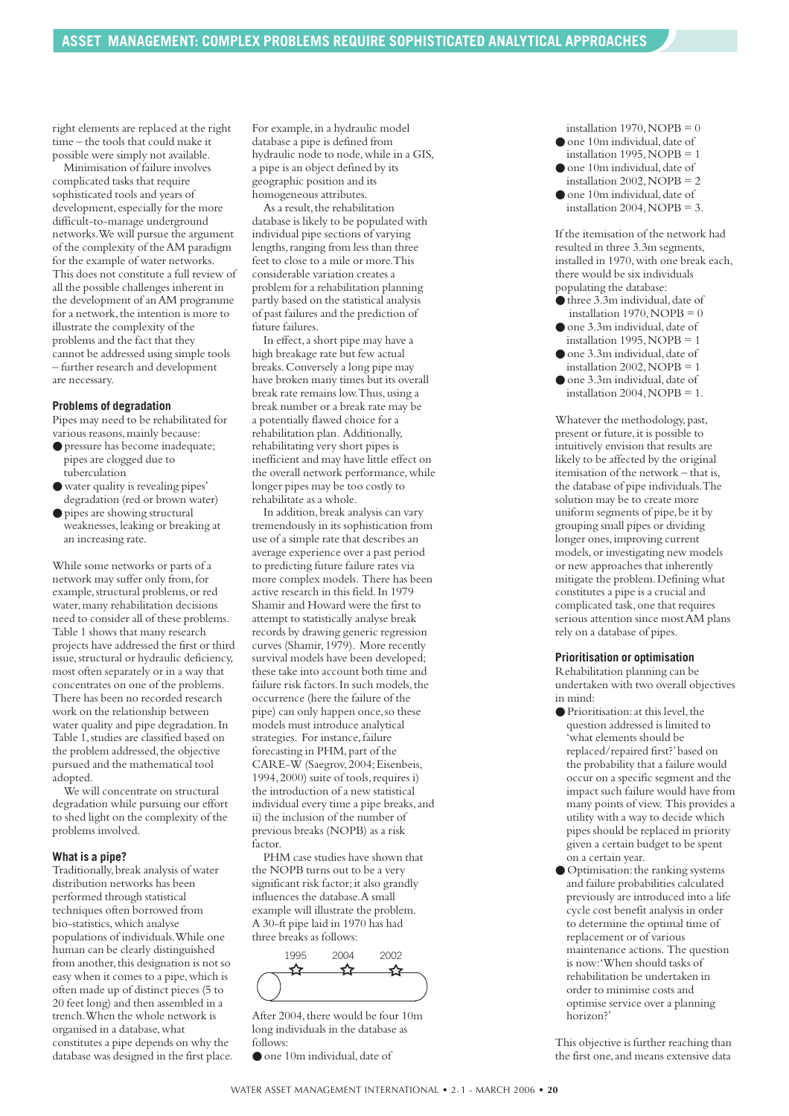right elements are replaced at the right time – the tools that could make it possible were simply not available.

Minimisation of failure involves complicated tasks that require sophisticated tools and years of development, especially for the more difficult-to-manage underground networks.We will pursue the argument of the complexity of the AM paradigm for the example of water networks. This does not constitute a full review of all the possible challenges inherent in the development of an AM programme for a network, the intention is more to illustrate the complexity of the problems and the fact that they cannot be addressed using simple tools – further research and development are necessary.

#### **Problems of degradation**

Pipes may need to be rehabilitated for various reasons,mainly because:

- pressure has become inadequate; pipes are clogged due to tuberculation
- water quality is revealing pipes' degradation (red or brown water)
- pipes are showing structural weaknesses,leaking or breaking at an increasing rate.

While some networks or parts of a network may suffer only from,for example, structural problems, or red water,many rehabilitation decisions need to consider all of these problems. Table 1 shows that many research projects have addressed the first or third issue, structural or hydraulic deficiency, most often separately or in a way that concentrates on one of the problems. There has been no recorded research work on the relationship between water quality and pipe degradation.In Table 1,studies are classified based on the problem addressed, the objective pursued and the mathematical tool adopted.

We will concentrate on structural degradation while pursuing our effort to shed light on the complexity of the problems involved.

#### **What is a pipe?**

Traditionally,break analysis of water distribution networks has been performed through statistical techniques often borrowed from bio-statistics,which analyse populations of individuals.While one human can be clearly distinguished from another, this designation is not so easy when it comes to a pipe,which is often made up of distinct pieces (5 to 20 feet long) and then assembled in a trench.When the whole network is organised in a database,what constitutes a pipe depends on why the database was designed in the first place.

For example, in a hydraulic model database a pipe is defined from hydraulic node to node,while in a GIS, a pipe is an object defined by its geographic position and its homogeneous attributes.

As a result, the rehabilitation database is likely to be populated with individual pipe sections of varying lengths, ranging from less than three feet to close to a mile or more.This considerable variation creates a problem for a rehabilitation planning partly based on the statistical analysis of past failures and the prediction of future failures.

In effect,a short pipe may have a high breakage rate but few actual breaks.Conversely a long pipe may have broken many times but its overall break rate remains low. Thus, using a break number or a break rate may be a potentially flawed choice for a rehabilitation plan. Additionally, rehabilitating very short pipes is inefficient and may have little effect on the overall network performance,while longer pipes may be too costly to rehabilitate as a whole.

In addition,break analysis can vary tremendously in its sophistication from use of a simple rate that describes an average experience over a past period to predicting future failure rates via more complex models. There has been active research in this field.In 1979 Shamir and Howard were the first to attempt to statistically analyse break records by drawing generic regression curves (Shamir,1979). More recently survival models have been developed; these take into account both time and failure risk factors. In such models, the occurrence (here the failure of the pipe) can only happen once, so these models must introduce analytical strategies. For instance, failure forecasting in PHM, part of the CARE-W (Saegrov,2004;Eisenbeis, 1994,2000) suite of tools,requires i) the introduction of a new statistical individual every time a pipe breaks, and ii) the inclusion of the number of previous breaks (NOPB) as a risk factor.

PHM case studies have shown that the NOPB turns out to be a very significant risk factor; it also grandly influences the database.A small example will illustrate the problem. A 30-ft pipe laid in 1970 has had three breaks as follows:

1995 2004 2002✦

After 2004, there would be four 10m long individuals in the database as follows:

● one 10m individual, date of

- installation 1970,  $NOPB = 0$  $\bullet$  one 10m individual, date of
- installation 1995, NOPB =  $1$ ● one 10m individual, date of
- installation 2002,  $NOPB = 2$ ● one 10m individual, date of
- installation 2004, NOPB =  $3$ .

If the itemisation of the network had resulted in three 3.3m segments, installed in 1970,with one break each, there would be six individuals populating the database:

- $\bullet$  three 3.3m individual, date of installation 1970, NOPB  $= 0$
- $\bullet$  one 3.3m individual, date of installation 1995, NOPB =  $1$
- $\bullet$  one 3.3m individual, date of installation 2002, NOPB  $= 1$ ● one 3.3m individual, date of
- installation 2004, NOPB =  $1$ .

Whatever the methodology, past, present or future, it is possible to intuitively envision that results are likely to be affected by the original itemisation of the network – that is, the database of pipe individuals.The solution may be to create more uniform segments of pipe, be it by grouping small pipes or dividing longer ones,improving current models,or investigating new models or new approaches that inherently mitigate the problem.Defining what constitutes a pipe is a crucial and complicated task, one that requires serious attention since most AM plans rely on a database of pipes.

#### **Prioritisation or optimisation**

Rehabilitation planning can be undertaken with two overall objectives in mind:

- Prioritisation: at this level, the question addressed is limited to 'what elements should be replaced/repaired first?'based on the probability that a failure would occur on a specific segment and the impact such failure would have from many points of view. This provides a utility with a way to decide which pipes should be replaced in priority given a certain budget to be spent on a certain year.
- Optimisation: the ranking systems and failure probabilities calculated previously are introduced into a life cycle cost benefit analysis in order to determine the optimal time of replacement or of various maintenance actions. The question is now:'When should tasks of rehabilitation be undertaken in order to minimise costs and optimise service over a planning horizon?'

This objective is further reaching than the first one,and means extensive data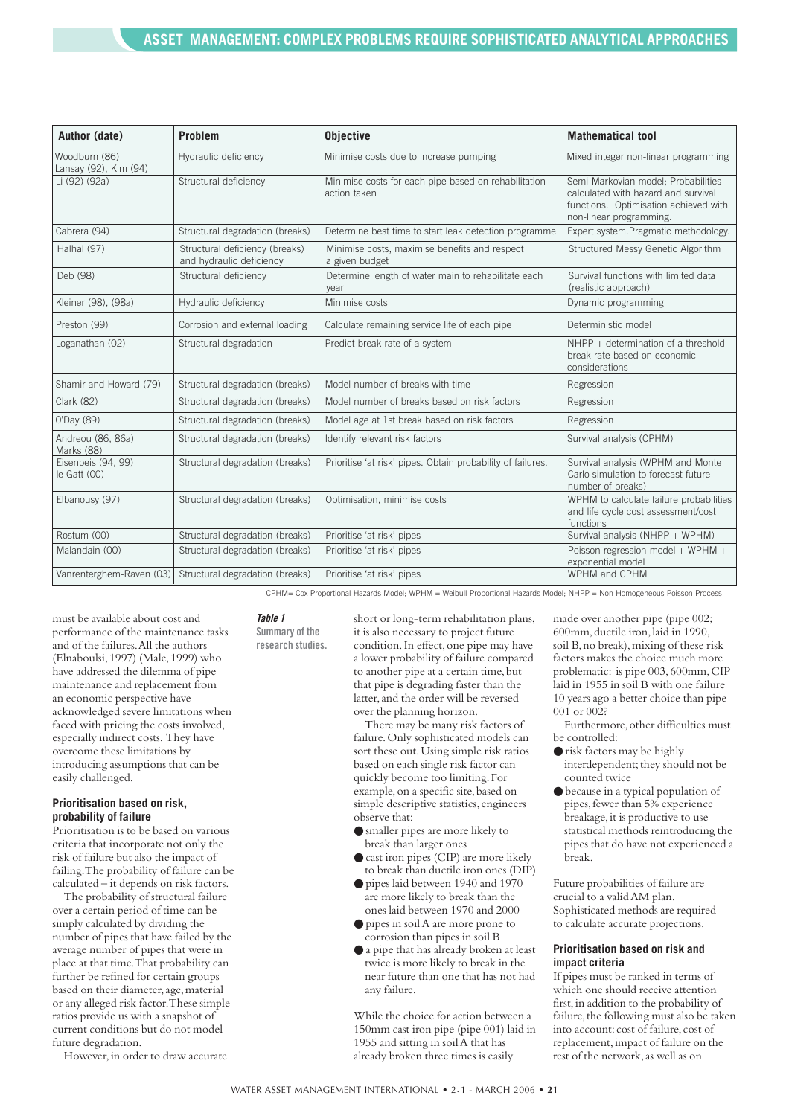| Author (date)                          | <b>Problem</b>                                             | <b>Objective</b>                                                     | <b>Mathematical tool</b>                                                                                                                       |
|----------------------------------------|------------------------------------------------------------|----------------------------------------------------------------------|------------------------------------------------------------------------------------------------------------------------------------------------|
| Woodburn (86)<br>Lansay (92), Kim (94) | Hydraulic deficiency                                       | Minimise costs due to increase pumping                               | Mixed integer non-linear programming                                                                                                           |
| Li (92) (92a)                          | Structural deficiency                                      | Minimise costs for each pipe based on rehabilitation<br>action taken | Semi-Markovian model; Probabilities<br>calculated with hazard and survival<br>functions. Optimisation achieved with<br>non-linear programming. |
| Cabrera (94)                           | Structural degradation (breaks)                            | Determine best time to start leak detection programme                | Expert system.Pragmatic methodology.                                                                                                           |
| Halhal (97)                            | Structural deficiency (breaks)<br>and hydraulic deficiency | Minimise costs, maximise benefits and respect<br>a given budget      | Structured Messy Genetic Algorithm                                                                                                             |
| Deb (98)                               | Structural deficiency                                      | Determine length of water main to rehabilitate each<br>year          | Survival functions with limited data<br>(realistic approach)                                                                                   |
| Kleiner (98), (98a)                    | Hydraulic deficiency                                       | Minimise costs                                                       | Dynamic programming                                                                                                                            |
| Preston (99)                           | Corrosion and external loading                             | Calculate remaining service life of each pipe                        | Deterministic model                                                                                                                            |
| Loganathan (02)                        | Structural degradation                                     | Predict break rate of a system                                       | NHPP + determination of a threshold<br>break rate based on economic<br>considerations                                                          |
| Shamir and Howard (79)                 | Structural degradation (breaks)                            | Model number of breaks with time                                     | Regression                                                                                                                                     |
| <b>Clark (82)</b>                      | Structural degradation (breaks)                            | Model number of breaks based on risk factors                         | Regression                                                                                                                                     |
| 0'Day (89)                             | Structural degradation (breaks)                            | Model age at 1st break based on risk factors                         | Regression                                                                                                                                     |
| Andreou (86, 86a)<br>Marks (88)        | Structural degradation (breaks)                            | Identify relevant risk factors                                       | Survival analysis (CPHM)                                                                                                                       |
| Eisenbeis (94, 99)<br>$le$ Gatt $(00)$ | Structural degradation (breaks)                            | Prioritise 'at risk' pipes. Obtain probability of failures.          | Survival analysis (WPHM and Monte<br>Carlo simulation to forecast future<br>number of breaks)                                                  |
| Elbanousy (97)                         | Structural degradation (breaks)                            | Optimisation, minimise costs                                         | WPHM to calculate failure probabilities<br>and life cycle cost assessment/cost<br>functions                                                    |
| Rostum (00)                            | Structural degradation (breaks)                            | Prioritise 'at risk' pipes                                           | Survival analysis (NHPP + WPHM)                                                                                                                |
| Malandain (00)                         | Structural degradation (breaks)                            | Prioritise 'at risk' pipes                                           | Poisson regression model + WPHM +<br>exponential model                                                                                         |
| Vanrenterghem-Raven (03)               | Structural degradation (breaks)                            | Prioritise 'at risk' pipes                                           | WPHM and CPHM                                                                                                                                  |

CPHM= Cox Proportional Hazards Model; WPHM = Weibull Proportional Hazards Model; NHPP = Non Homogeneous Poisson Process

must be available about cost and performance of the maintenance tasks and of the failures.All the authors (Elnaboulsi,1997) (Male,1999) who have addressed the dilemma of pipe maintenance and replacement from an economic perspective have acknowledged severe limitations when faced with pricing the costs involved, especially indirect costs. They have overcome these limitations by introducing assumptions that can be easily challenged.

#### **Prioritisation based on risk, probability of failure**

Prioritisation is to be based on various criteria that incorporate not only the risk of failure but also the impact of failing.The probability of failure can be calculated – it depends on risk factors.

The probability of structural failure over a certain period of time can be simply calculated by dividing the number of pipes that have failed by the average number of pipes that were in place at that time.That probability can further be refined for certain groups based on their diameter, age, material or any alleged risk factor.These simple ratios provide us with a snapshot of current conditions but do not model future degradation.

However, in order to draw accurate

*Table 1* **Summary of the research studies.** short or long-term rehabilitation plans, it is also necessary to project future condition.In effect,one pipe may have a lower probability of failure compared to another pipe at a certain time, but that pipe is degrading faster than the latter, and the order will be reversed over the planning horizon.

There may be many risk factors of failure.Only sophisticated models can sort these out.Using simple risk ratios based on each single risk factor can quickly become too limiting.For example, on a specific site, based on simple descriptive statistics, engineers observe that:

- smaller pipes are more likely to break than larger ones
- cast iron pipes (CIP) are more likely to break than ductile iron ones (DIP)
- pipes laid between 1940 and 1970 are more likely to break than the ones laid between 1970 and 2000
- pipes in soil A are more prone to corrosion than pipes in soil B
- a pipe that has already broken at least twice is more likely to break in the near future than one that has not had any failure.

While the choice for action between a 150mm cast iron pipe (pipe 001) laid in 1955 and sitting in soil A that has already broken three times is easily

made over another pipe (pipe 002; 600mm,ductile iron,laid in 1990, soil B, no break), mixing of these risk factors makes the choice much more problematic: is pipe 003, 600mm, CIP laid in 1955 in soil B with one failure 10 years ago a better choice than pipe 001 or 002?

Furthermore, other difficulties must be controlled:

- risk factors may be highly interdependent; they should not be counted twice
- because in a typical population of pipes,fewer than 5% experience breakage, it is productive to use statistical methods reintroducing the pipes that do have not experienced a break.

Future probabilities of failure are crucial to a valid AM plan. Sophisticated methods are required to calculate accurate projections.

#### **Prioritisation based on risk and impact criteria**

If pipes must be ranked in terms of which one should receive attention first,in addition to the probability of failure, the following must also be taken into account: cost of failure, cost of replacement,impact of failure on the rest of the network,as well as on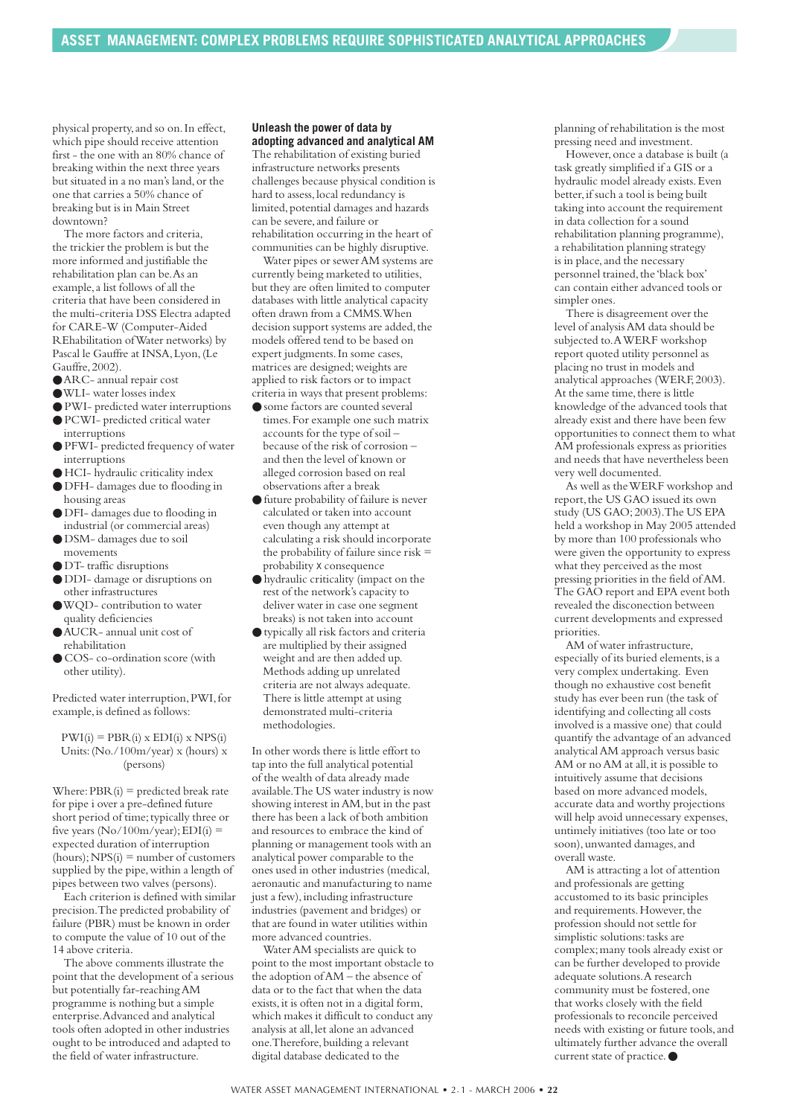physical property,and so on.In effect, which pipe should receive attention first - the one with an 80% chance of breaking within the next three years but situated in a no man's land,or the one that carries a 50% chance of breaking but is in Main Street downtown?

The more factors and criteria, the trickier the problem is but the more informed and justifiable the rehabilitation plan can be.As an example,a list follows of all the criteria that have been considered in the multi-criteria DSS Electra adapted for CARE-W (Computer-Aided REhabilitation of Water networks) by Pascal le Gauffre at INSA,Lyon,(Le Gauffre,2002).

- ●ARC- annual repair cost
- ●WLI- water losses index
- PWI- predicted water interruptions
- PCWI- predicted critical water interruptions
- PFWI- predicted frequency of water interruptions
- HCI- hydraulic criticality index
- DFH- damages due to flooding in housing areas
- DFI- damages due to flooding in industrial (or commercial areas)
- DSM- damages due to soil movements
- DT- traffic disruptions
- DDI- damage or disruptions on other infrastructures
- ●WQD- contribution to water quality deficiencies
- ●AUCR- annual unit cost of rehabilitation
- COS- co-ordination score (with other utility).

Predicted water interruption,PWI,for example, is defined as follows:

 $PWI(i) = PBR(i) \times EDI(i) \times NPS(i)$ Units:(No./100m/year) x (hours) x (persons)

Where:  $PBR(i)$  = predicted break rate for pipe i over a pre-defined future short period of time; typically three or five years  $(No/100m/year)$ ; EDI(i) = expected duration of interruption  $(hours)$ ; NPS $(i)$  = number of customers supplied by the pipe,within a length of pipes between two valves (persons).

Each criterion is defined with similar precision.The predicted probability of failure (PBR) must be known in order to compute the value of 10 out of the 14 above criteria.

The above comments illustrate the point that the development of a serious but potentially far-reaching AM programme is nothing but a simple enterprise.Advanced and analytical tools often adopted in other industries ought to be introduced and adapted to the field of water infrastructure.

#### **Unleash the power of data by adopting advanced and analytical AM**

The rehabilitation of existing buried infrastructure networks presents challenges because physical condition is hard to assess,local redundancy is limited, potential damages and hazards can be severe, and failure or rehabilitation occurring in the heart of communities can be highly disruptive.

Water pipes or sewer AM systems are currently being marketed to utilities, but they are often limited to computer databases with little analytical capacity often drawn from a CMMS.When decision support systems are added, the models offered tend to be based on expert judgments.In some cases, matrices are designed;weights are applied to risk factors or to impact criteria in ways that present problems:

- some factors are counted several
- times.For example one such matrix accounts for the type of soil – because of the risk of corrosion – and then the level of known or alleged corrosion based on real observations after a break
- future probability of failure is never calculated or taken into account even though any attempt at calculating a risk should incorporate the probability of failure since risk = probability x consequence
- hydraulic criticality (impact on the rest of the network's capacity to deliver water in case one segment breaks) is not taken into account
- typically all risk factors and criteria are multiplied by their assigned weight and are then added up. Methods adding up unrelated criteria are not always adequate. There is little attempt at using demonstrated multi-criteria methodologies.

In other words there is little effort to tap into the full analytical potential of the wealth of data already made available.The US water industry is now showing interest in AM,but in the past there has been a lack of both ambition and resources to embrace the kind of planning or management tools with an analytical power comparable to the ones used in other industries (medical, aeronautic and manufacturing to name just a few), including infrastructure industries (pavement and bridges) or that are found in water utilities within more advanced countries.

Water AM specialists are quick to point to the most important obstacle to the adoption of AM – the absence of data or to the fact that when the data exists,it is often not in a digital form, which makes it difficult to conduct any analysis at all, let alone an advanced one.Therefore,building a relevant digital database dedicated to the

planning of rehabilitation is the most pressing need and investment.

However, once a database is built (a task greatly simplified if a GIS or a hydraulic model already exists.Even better,if such a tool is being built taking into account the requirement in data collection for a sound rehabilitation planning programme), a rehabilitation planning strategy is in place, and the necessary personnel trained, the 'black box' can contain either advanced tools or simpler ones.

There is disagreement over the level of analysis AM data should be subjected to.A WERF workshop report quoted utility personnel as placing no trust in models and analytical approaches (WERF,2003). At the same time, there is little knowledge of the advanced tools that already exist and there have been few opportunities to connect them to what AM professionals express as priorities and needs that have nevertheless been very well documented.

As well as the WERF workshop and report, the US GAO issued its own study (US GAO;2003).The US EPA held a workshop in May 2005 attended by more than 100 professionals who were given the opportunity to express what they perceived as the most pressing priorities in the field of AM. The GAO report and EPA event both revealed the disconection between current developments and expressed priorities.

AM of water infrastructure, especially of its buried elements, is a very complex undertaking. Even though no exhaustive cost benefit study has ever been run (the task of identifying and collecting all costs involved is a massive one) that could quantify the advantage of an advanced analytical AM approach versus basic AM or no AM at all, it is possible to intuitively assume that decisions based on more advanced models, accurate data and worthy projections will help avoid unnecessary expenses, untimely initiatives (too late or too soon),unwanted damages,and overall waste.

AM is attracting a lot of attention and professionals are getting accustomed to its basic principles and requirements. However, the profession should not settle for simplistic solutions: tasks are complex;many tools already exist or can be further developed to provide adequate solutions.A research community must be fostered,one that works closely with the field professionals to reconcile perceived needs with existing or future tools,and ultimately further advance the overall current state of practice. ●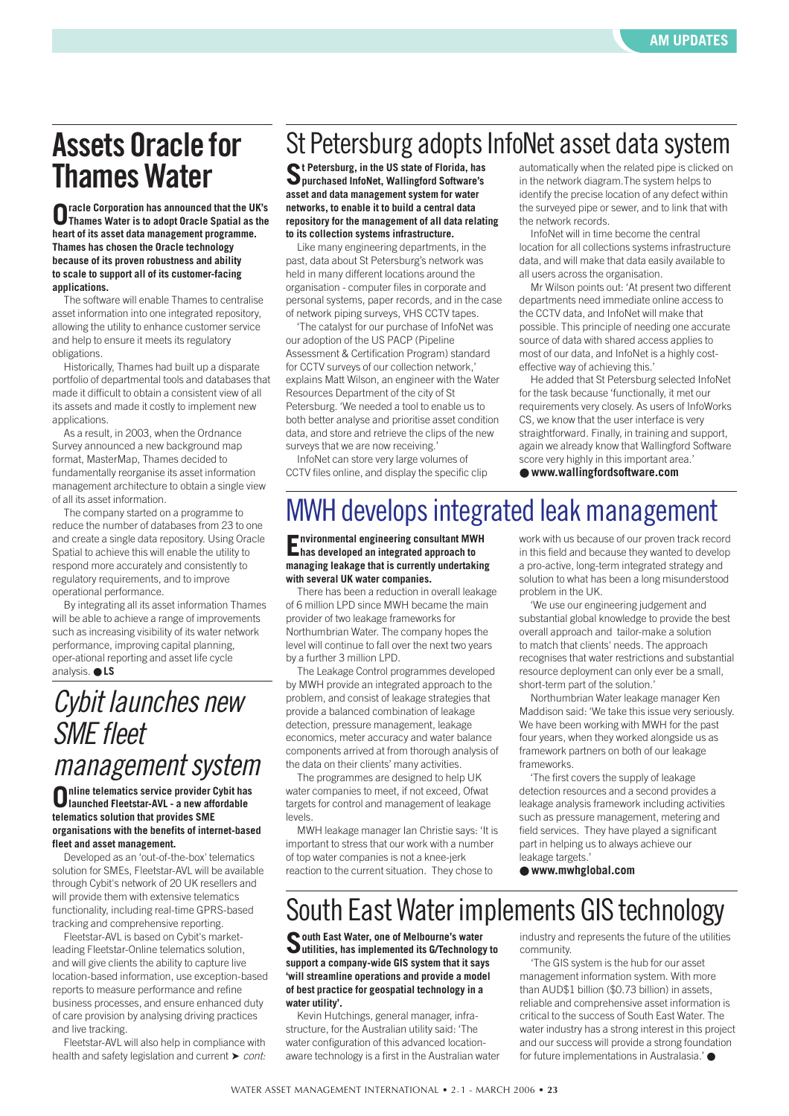## **Assets Oracle for Thames Water**

**Oracle Corporation has announced that the UK's Thames Water is to adopt Oracle Spatial as the heart of its asset data management programme. Thames has chosen the Oracle technology because of its proven robustness and ability to scale to support all of its customer-facing applications.** 

The software will enable Thames to centralise asset information into one integrated repository, allowing the utility to enhance customer service and help to ensure it meets its regulatory obligations.

Historically, Thames had built up a disparate portfolio of departmental tools and databases that made it difficult to obtain a consistent view of all its assets and made it costly to implement new applications.

As a result, in 2003, when the Ordnance Survey announced a new background map format, MasterMap, Thames decided to fundamentally reorganise its asset information management architecture to obtain a single view of all its asset information.

The company started on a programme to reduce the number of databases from 23 to one and create a single data repository. Using Oracle Spatial to achieve this will enable the utility to respond more accurately and consistently to regulatory requirements, and to improve operational performance.

By integrating all its asset information Thames will be able to achieve a range of improvements such as increasing visibility of its water network performance, improving capital planning, oper-ational reporting and asset life cycle analysis. ● **LS**

## *Cybit launches new SME fleet management system*

**Online telematics service provider Cybit has launched Fleetstar-AVL - a new affordable telematics solution that provides SME organisations with the benefits of internet-based fleet and asset management.** 

Developed as an 'out-of-the-box' telematics solution for SMEs, Fleetstar-AVL will be available through Cybit's network of 20 UK resellers and will provide them with extensive telematics functionality, including real-time GPRS-based tracking and comprehensive reporting.

Fleetstar-AVL is based on Cybit's marketleading Fleetstar-Online telematics solution, and will give clients the ability to capture live location-based information, use exception-based reports to measure performance and refine business processes, and ensure enhanced duty of care provision by analysing driving practices and live tracking.

Fleetstar-AVL will also help in compliance with health and safety legislation and current **►** *cont:* 

## St Petersburg adopts InfoNet asset data system

**St Petersburg, in the US state of Florida, has purchased InfoNet, Wallingford Software's asset and data management system for water networks, to enable it to build a central data repository for the management of all data relating to its collection systems infrastructure.** 

Like many engineering departments, in the past, data about St Petersburg's network was held in many different locations around the organisation - computer files in corporate and personal systems, paper records, and in the case of network piping surveys, VHS CCTV tapes.

'The catalyst for our purchase of InfoNet was our adoption of the US PACP (Pipeline Assessment & Certification Program) standard for CCTV surveys of our collection network,' explains Matt Wilson, an engineer with the Water Resources Department of the city of St Petersburg. 'We needed a tool to enable us to both better analyse and prioritise asset condition data, and store and retrieve the clips of the new surveys that we are now receiving.'

InfoNet can store very large volumes of CCTV files online, and display the specific clip

#### automatically when the related pipe is clicked on in the network diagram.The system helps to identify the precise location of any defect within the surveyed pipe or sewer, and to link that with the network records.

InfoNet will in time become the central location for all collections systems infrastructure data, and will make that data easily available to all users across the organisation.

Mr Wilson points out: 'At present two different departments need immediate online access to the CCTV data, and InfoNet will make that possible. This principle of needing one accurate source of data with shared access applies to most of our data, and InfoNet is a highly costeffective way of achieving this.'

He added that St Petersburg selected InfoNet for the task because 'functionally, it met our requirements very closely. As users of InfoWorks CS, we know that the user interface is very straightforward. Finally, in training and support, again we already know that Wallingford Software score very highly in this important area.'

● **www.wallingfordsoftware.com**

## MWH develops integrated leak management

**Environmental engineering consultant MWH has developed an integrated approach to managing leakage that is currently undertaking with several UK water companies.** 

There has been a reduction in overall leakage of 6 million LPD since MWH became the main provider of two leakage frameworks for Northumbrian Water. The company hopes the level will continue to fall over the next two years by a further 3 million LPD.

The Leakage Control programmes developed by MWH provide an integrated approach to the problem, and consist of leakage strategies that provide a balanced combination of leakage detection, pressure management, leakage economics, meter accuracy and water balance components arrived at from thorough analysis of the data on their clients' many activities.

The programmes are designed to help UK water companies to meet, if not exceed, Ofwat targets for control and management of leakage levels.

MWH leakage manager Ian Christie says: 'It is important to stress that our work with a number of top water companies is not a knee-jerk reaction to the current situation. They chose to

work with us because of our proven track record in this field and because they wanted to develop a pro-active, long-term integrated strategy and solution to what has been a long misunderstood problem in the UK.

'We use our engineering judgement and substantial global knowledge to provide the best overall approach and tailor-make a solution to match that clients' needs. The approach recognises that water restrictions and substantial resource deployment can only ever be a small, short-term part of the solution.'

Northumbrian Water leakage manager Ken Maddison said: 'We take this issue very seriously. We have been working with MWH for the past four years, when they worked alongside us as framework partners on both of our leakage frameworks.

'The first covers the supply of leakage detection resources and a second provides a leakage analysis framework including activities such as pressure management, metering and field services. They have played a significant part in helping us to always achieve our leakage targets.'

● **www.mwhglobal.com**

### South East Water implements GIS technology

**South East Water, one of Melbourne's water utilities, has implemented its G/Technology to support a company-wide GIS system that it says 'will streamline operations and provide a model of best practice for geospatial technology in a water utility'.**

Kevin Hutchings, general manager, infrastructure, for the Australian utility said: 'The water configuration of this advanced locationaware technology is a first in the Australian water

industry and represents the future of the utilities community.

'The GIS system is the hub for our asset management information system. With more than AUD\$1 billion (\$0.73 billion) in assets, reliable and comprehensive asset information is critical to the success of South East Water. The water industry has a strong interest in this project and our success will provide a strong foundation for future implementations in Australasia.' ●